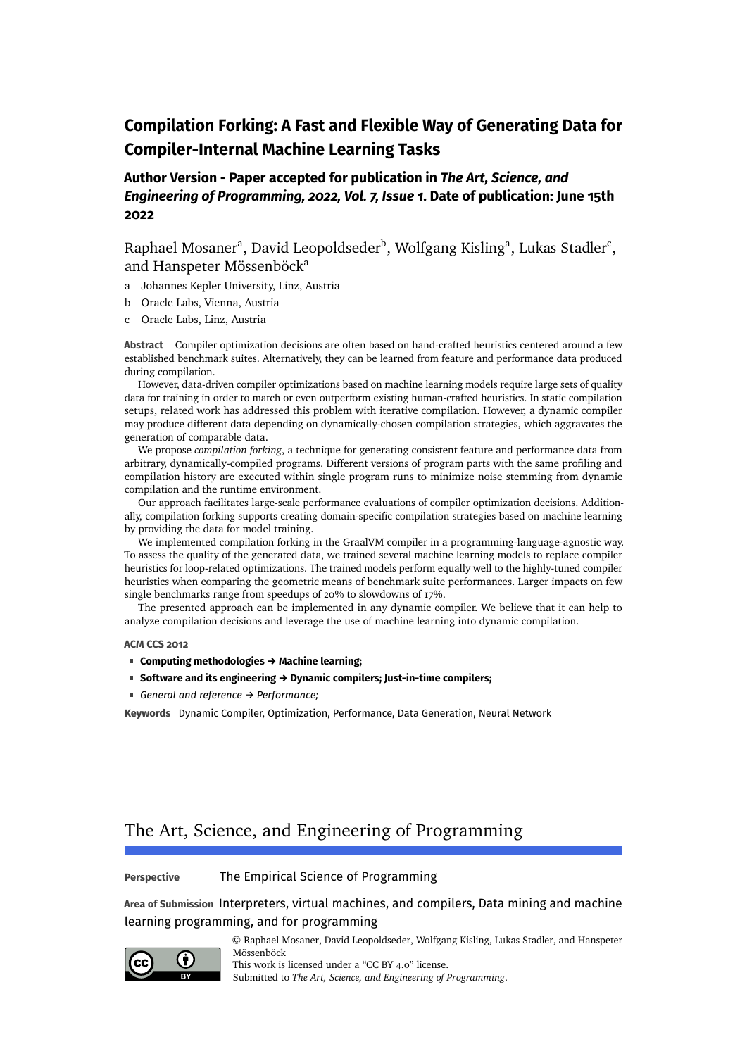# **Compilation Forking: A Fast and Flexible Way of Generating Data for Compiler-Internal Machine Learning Tasks**

# **Author Version - Paper accepted for publication in** *The Art, Science, and Engineering of Programming, 2022, Vol. 7, Issue 1***. Date of publication: June 15th 2022**

Raphael Mosaner<sup>a</sup>, David Leopoldseder<sup>b</sup>, Wolfgang Kisling<sup>a</sup>, Lukas Stadler<sup>c</sup>, and Hanspeter Mössenböck<sup>a</sup>

- a Johannes Kepler University, Linz, Austria
- b Oracle Labs, Vienna, Austria
- c Oracle Labs, Linz, Austria

**Abstract** Compiler optimization decisions are often based on hand-crafted heuristics centered around a few established benchmark suites. Alternatively, they can be learned from feature and performance data produced during compilation.

However, data-driven compiler optimizations based on machine learning models require large sets of quality data for training in order to match or even outperform existing human-crafted heuristics. In static compilation setups, related work has addressed this problem with iterative compilation. However, a dynamic compiler may produce different data depending on dynamically-chosen compilation strategies, which aggravates the generation of comparable data.

We propose *compilation forking*, a technique for generating consistent feature and performance data from arbitrary, dynamically-compiled programs. Different versions of program parts with the same profiling and compilation history are executed within single program runs to minimize noise stemming from dynamic compilation and the runtime environment.

Our approach facilitates large-scale performance evaluations of compiler optimization decisions. Additionally, compilation forking supports creating domain-specific compilation strategies based on machine learning by providing the data for model training.

We implemented compilation forking in the GraalVM compiler in a programming-language-agnostic way. To assess the quality of the generated data, we trained several machine learning models to replace compiler heuristics for loop-related optimizations. The trained models perform equally well to the highly-tuned compiler heuristics when comparing the geometric means of benchmark suite performances. Larger impacts on few single benchmarks range from speedups of 20% to slowdowns of 17%.

The presented approach can be implemented in any dynamic compiler. We believe that it can help to analyze compilation decisions and leverage the use of machine learning into dynamic compilation.

#### **ACM CCS 2012**

- **Computing methodologies → Machine learning;**
- **Software and its engineering → Dynamic compilers; Just-in-time compilers;**
- *General and reference → Performance;*

**Keywords** Dynamic Compiler, Optimization, Performance, Data Generation, Neural Network

# The Art, Science, and Engineering of Programming

#### **Perspective** The Empirical Science of Programming

**Area of Submission** Interpreters, virtual machines, and compilers, Data mining and machine learning programming, and for programming



© Raphael Mosaner, David Leopoldseder, Wolfgang Kisling, Lukas Stadler, and Hanspeter Mössenböck This work is licensed under a ["CC BY 4.0"](https://creativecommons.org/licenses/by/4.0/deed.en) license. Submitted to *The Art, Science, and Engineering of Programming*.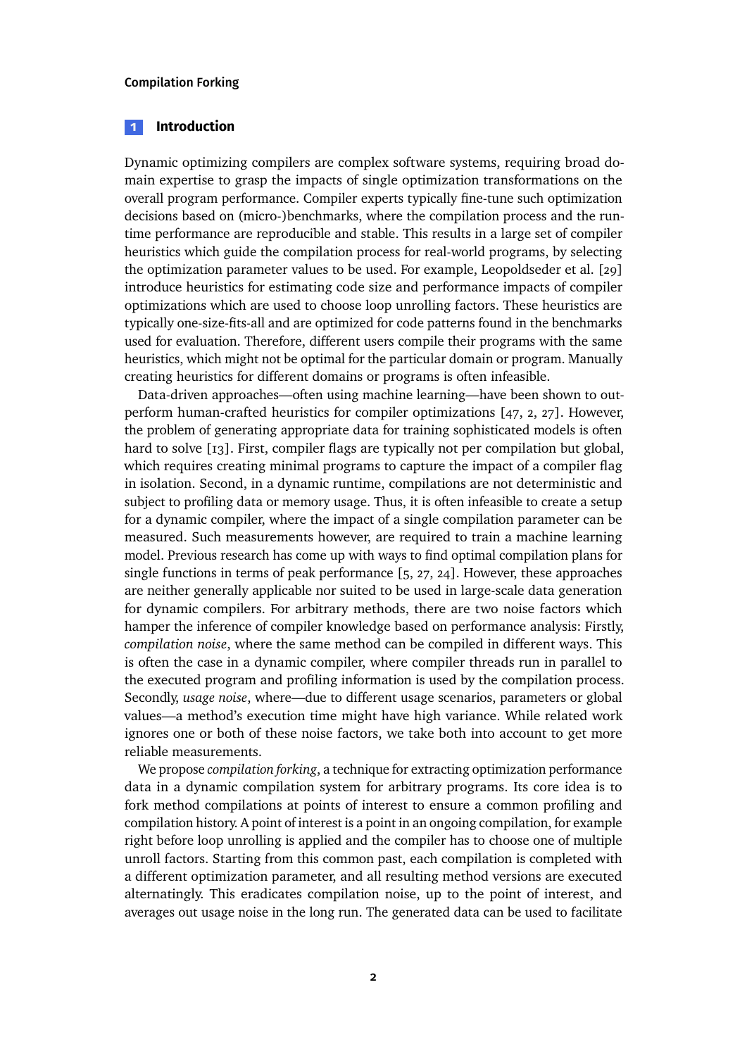### **1 Introduction**

Dynamic optimizing compilers are complex software systems, requiring broad domain expertise to grasp the impacts of single optimization transformations on the overall program performance. Compiler experts typically fine-tune such optimization decisions based on (micro-)benchmarks, where the compilation process and the runtime performance are reproducible and stable. This results in a large set of compiler heuristics which guide the compilation process for real-world programs, by selecting the optimization parameter values to be used. For example, Leopoldseder et al. [\[29\]](#page-24-0) introduce heuristics for estimating code size and performance impacts of compiler optimizations which are used to choose loop unrolling factors. These heuristics are typically one-size-fits-all and are optimized for code patterns found in the benchmarks used for evaluation. Therefore, different users compile their programs with the same heuristics, which might not be optimal for the particular domain or program. Manually creating heuristics for different domains or programs is often infeasible.

Data-driven approaches—often using machine learning—have been shown to outperform human-crafted heuristics for compiler optimizations [\[47,](#page-26-0) [2,](#page-22-0) [27\]](#page-24-1). However, the problem of generating appropriate data for training sophisticated models is often hard to solve [\[13\]](#page-23-0). First, compiler flags are typically not per compilation but global, which requires creating minimal programs to capture the impact of a compiler flag in isolation. Second, in a dynamic runtime, compilations are not deterministic and subject to profiling data or memory usage. Thus, it is often infeasible to create a setup for a dynamic compiler, where the impact of a single compilation parameter can be measured. Such measurements however, are required to train a machine learning model. Previous research has come up with ways to find optimal compilation plans for single functions in terms of peak performance [\[5,](#page-22-1) [27,](#page-24-1) [24\]](#page-24-2). However, these approaches are neither generally applicable nor suited to be used in large-scale data generation for dynamic compilers. For arbitrary methods, there are two noise factors which hamper the inference of compiler knowledge based on performance analysis: Firstly, *compilation noise*, where the same method can be compiled in different ways. This is often the case in a dynamic compiler, where compiler threads run in parallel to the executed program and profiling information is used by the compilation process. Secondly, *usage noise*, where—due to different usage scenarios, parameters or global values—a method's execution time might have high variance. While related work ignores one or both of these noise factors, we take both into account to get more reliable measurements.

We propose *compilation forking*, a technique for extracting optimization performance data in a dynamic compilation system for arbitrary programs. Its core idea is to fork method compilations at points of interest to ensure a common profiling and compilation history. A point of interest is a point in an ongoing compilation, for example right before loop unrolling is applied and the compiler has to choose one of multiple unroll factors. Starting from this common past, each compilation is completed with a different optimization parameter, and all resulting method versions are executed alternatingly. This eradicates compilation noise, up to the point of interest, and averages out usage noise in the long run. The generated data can be used to facilitate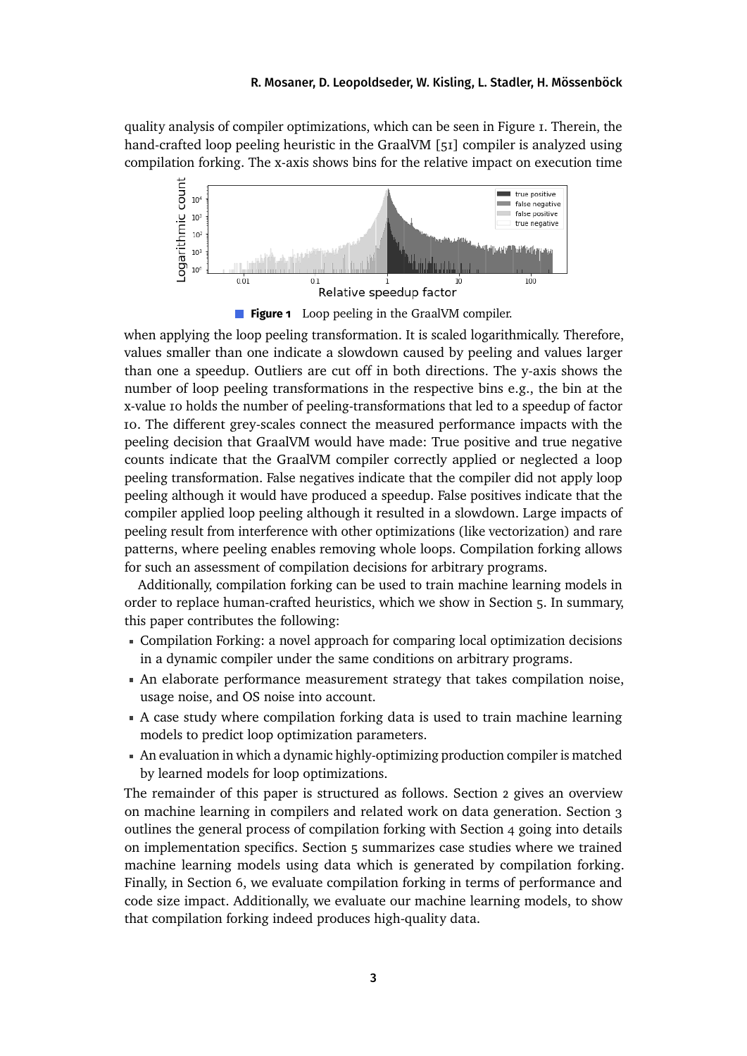quality analysis of compiler optimizations, which can be seen in Figure [1.](#page-2-0) Therein, the hand-crafted loop peeling heuristic in the GraalVM [\[51\]](#page-27-0) compiler is analyzed using compilation forking. The x-axis shows bins for the relative impact on execution time

<span id="page-2-0"></span>

**Figure 1** Loop peeling in the GraalVM compiler.

when applying the loop peeling transformation. It is scaled logarithmically. Therefore, values smaller than one indicate a slowdown caused by peeling and values larger than one a speedup. Outliers are cut off in both directions. The y-axis shows the number of loop peeling transformations in the respective bins e.g., the bin at the x-value 10 holds the number of peeling-transformations that led to a speedup of factor 10. The different grey-scales connect the measured performance impacts with the peeling decision that GraalVM would have made: True positive and true negative counts indicate that the GraalVM compiler correctly applied or neglected a loop peeling transformation. False negatives indicate that the compiler did not apply loop peeling although it would have produced a speedup. False positives indicate that the compiler applied loop peeling although it resulted in a slowdown. Large impacts of peeling result from interference with other optimizations (like vectorization) and rare patterns, where peeling enables removing whole loops. Compilation forking allows for such an assessment of compilation decisions for arbitrary programs.

Additionally, compilation forking can be used to train machine learning models in order to replace human-crafted heuristics, which we show in Section [5.](#page-13-0) In summary, this paper contributes the following:

- Compilation Forking: a novel approach for comparing local optimization decisions in a dynamic compiler under the same conditions on arbitrary programs.
- An elaborate performance measurement strategy that takes compilation noise, usage noise, and OS noise into account.
- A case study where compilation forking data is used to train machine learning models to predict loop optimization parameters.
- An evaluation in which a dynamic highly-optimizing production compiler is matched by learned models for loop optimizations.

The remainder of this paper is structured as follows. Section [2](#page-3-0) gives an overview on machine learning in compilers and related work on data generation. Section [3](#page-5-0) outlines the general process of compilation forking with Section [4](#page-9-0) going into details on implementation specifics. Section [5](#page-13-0) summarizes case studies where we trained machine learning models using data which is generated by compilation forking. Finally, in Section [6,](#page-17-0) we evaluate compilation forking in terms of performance and code size impact. Additionally, we evaluate our machine learning models, to show that compilation forking indeed produces high-quality data.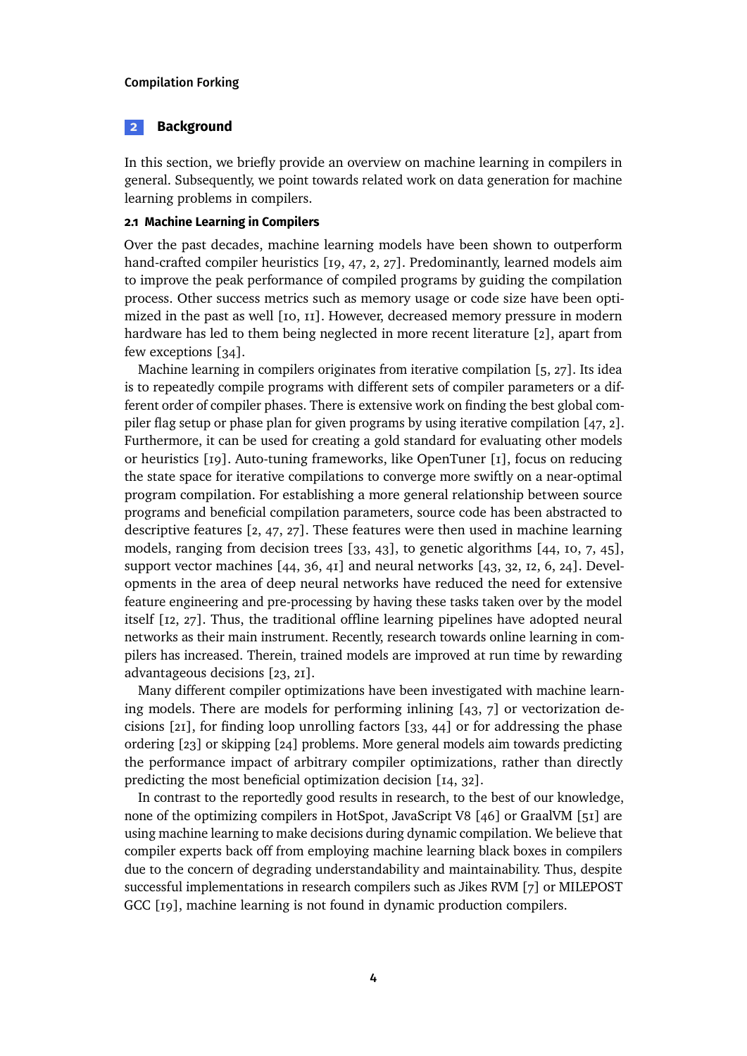### <span id="page-3-0"></span>**2 Background**

In this section, we briefly provide an overview on machine learning in compilers in general. Subsequently, we point towards related work on data generation for machine learning problems in compilers.

### **2.1 Machine Learning in Compilers**

Over the past decades, machine learning models have been shown to outperform hand-crafted compiler heuristics [\[19,](#page-23-1) [47,](#page-26-0) [2,](#page-22-0) [27\]](#page-24-1). Predominantly, learned models aim to improve the peak performance of compiled programs by guiding the compilation process. Other success metrics such as memory usage or code size have been optimized in the past as well [\[10,](#page-22-2) [11\]](#page-23-2). However, decreased memory pressure in modern hardware has led to them being neglected in more recent literature [\[2\]](#page-22-0), apart from few exceptions [\[34\]](#page-25-0).

Machine learning in compilers originates from iterative compilation [\[5,](#page-22-1) [27\]](#page-24-1). Its idea is to repeatedly compile programs with different sets of compiler parameters or a different order of compiler phases. There is extensive work on finding the best global compiler flag setup or phase plan for given programs by using iterative compilation [\[47,](#page-26-0) [2\]](#page-22-0). Furthermore, it can be used for creating a gold standard for evaluating other models or heuristics [\[19\]](#page-23-1). Auto-tuning frameworks, like OpenTuner [\[1\]](#page-22-3), focus on reducing the state space for iterative compilations to converge more swiftly on a near-optimal program compilation. For establishing a more general relationship between source programs and beneficial compilation parameters, source code has been abstracted to descriptive features [\[2,](#page-22-0) [47,](#page-26-0) [27\]](#page-24-1). These features were then used in machine learning models, ranging from decision trees [\[33,](#page-25-1) [43\]](#page-26-1), to genetic algorithms [\[44,](#page-26-2) [10,](#page-22-2) [7,](#page-22-4) [45\]](#page-26-3), support vector machines [\[44,](#page-26-2) [36,](#page-25-2) [41\]](#page-26-4) and neural networks [\[43,](#page-26-1) [32,](#page-25-3) [12,](#page-23-3) [6,](#page-22-5) [24\]](#page-24-2). Developments in the area of deep neural networks have reduced the need for extensive feature engineering and pre-processing by having these tasks taken over by the model itself [\[12,](#page-23-3) [27\]](#page-24-1). Thus, the traditional offline learning pipelines have adopted neural networks as their main instrument. Recently, research towards online learning in compilers has increased. Therein, trained models are improved at run time by rewarding advantageous decisions [\[23,](#page-24-3) [21\]](#page-24-4).

Many different compiler optimizations have been investigated with machine learning models. There are models for performing inlining  $[43, 7]$  $[43, 7]$  $[43, 7]$  or vectorization decisions [\[21\]](#page-24-4), for finding loop unrolling factors [\[33,](#page-25-1) [44\]](#page-26-2) or for addressing the phase ordering [\[23\]](#page-24-3) or skipping [\[24\]](#page-24-2) problems. More general models aim towards predicting the performance impact of arbitrary compiler optimizations, rather than directly predicting the most beneficial optimization decision [\[14,](#page-23-4) [32\]](#page-25-3).

In contrast to the reportedly good results in research, to the best of our knowledge, none of the optimizing compilers in HotSpot, JavaScript V8 [\[46\]](#page-26-5) or GraalVM [\[51\]](#page-27-0) are using machine learning to make decisions during dynamic compilation. We believe that compiler experts back off from employing machine learning black boxes in compilers due to the concern of degrading understandability and maintainability. Thus, despite successful implementations in research compilers such as Jikes RVM [\[7\]](#page-22-4) or MILEPOST GCC [\[19\]](#page-23-1), machine learning is not found in dynamic production compilers.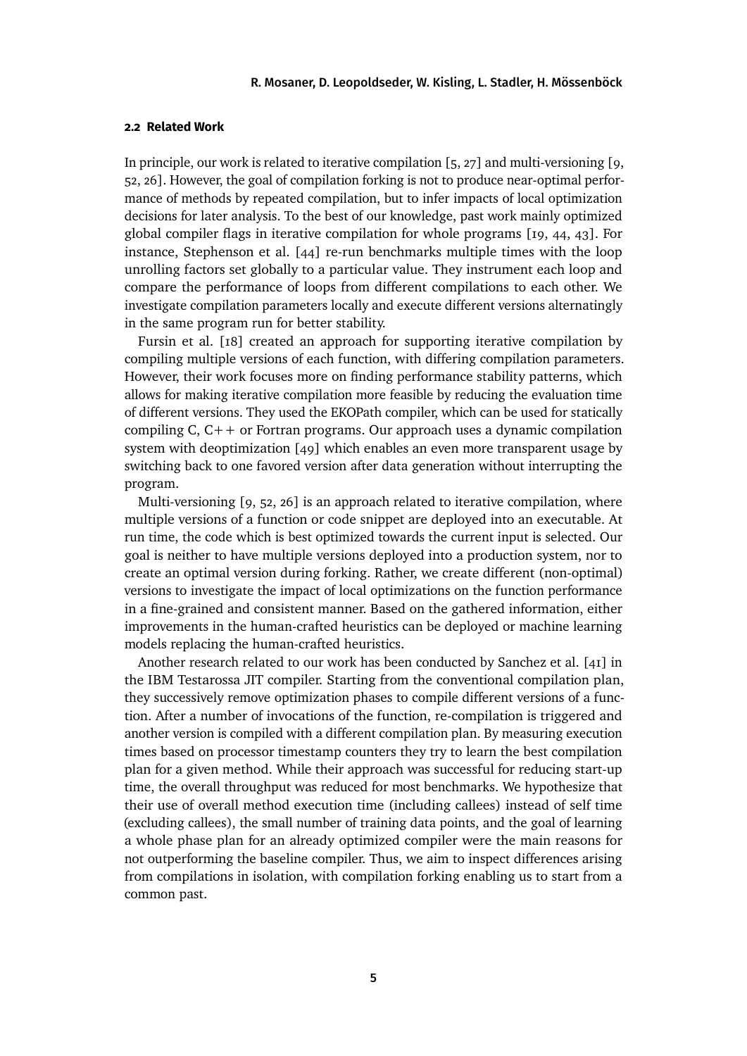### **2.2 Related Work**

In principle, our work is related to iterative compilation [\[5,](#page-22-1) [27\]](#page-24-1) and multi-versioning [\[9,](#page-22-6) [52,](#page-27-1) [26\]](#page-24-5). However, the goal of compilation forking is not to produce near-optimal performance of methods by repeated compilation, but to infer impacts of local optimization decisions for later analysis. To the best of our knowledge, past work mainly optimized global compiler flags in iterative compilation for whole programs [\[19,](#page-23-1) [44,](#page-26-2) [43\]](#page-26-1). For instance, Stephenson et al. [\[44\]](#page-26-2) re-run benchmarks multiple times with the loop unrolling factors set globally to a particular value. They instrument each loop and compare the performance of loops from different compilations to each other. We investigate compilation parameters locally and execute different versions alternatingly in the same program run for better stability.

Fursin et al. [\[18\]](#page-23-5) created an approach for supporting iterative compilation by compiling multiple versions of each function, with differing compilation parameters. However, their work focuses more on finding performance stability patterns, which allows for making iterative compilation more feasible by reducing the evaluation time of different versions. They used the EKOPath compiler, which can be used for statically compiling C, C++ or Fortran programs. Our approach uses a dynamic compilation system with deoptimization [\[49\]](#page-26-6) which enables an even more transparent usage by switching back to one favored version after data generation without interrupting the program.

Multi-versioning [\[9,](#page-22-6) [52,](#page-27-1) [26\]](#page-24-5) is an approach related to iterative compilation, where multiple versions of a function or code snippet are deployed into an executable. At run time, the code which is best optimized towards the current input is selected. Our goal is neither to have multiple versions deployed into a production system, nor to create an optimal version during forking. Rather, we create different (non-optimal) versions to investigate the impact of local optimizations on the function performance in a fine-grained and consistent manner. Based on the gathered information, either improvements in the human-crafted heuristics can be deployed or machine learning models replacing the human-crafted heuristics.

Another research related to our work has been conducted by Sanchez et al. [\[41\]](#page-26-4) in the IBM Testarossa JIT compiler. Starting from the conventional compilation plan, they successively remove optimization phases to compile different versions of a function. After a number of invocations of the function, re-compilation is triggered and another version is compiled with a different compilation plan. By measuring execution times based on processor timestamp counters they try to learn the best compilation plan for a given method. While their approach was successful for reducing start-up time, the overall throughput was reduced for most benchmarks. We hypothesize that their use of overall method execution time (including callees) instead of self time (excluding callees), the small number of training data points, and the goal of learning a whole phase plan for an already optimized compiler were the main reasons for not outperforming the baseline compiler. Thus, we aim to inspect differences arising from compilations in isolation, with compilation forking enabling us to start from a common past.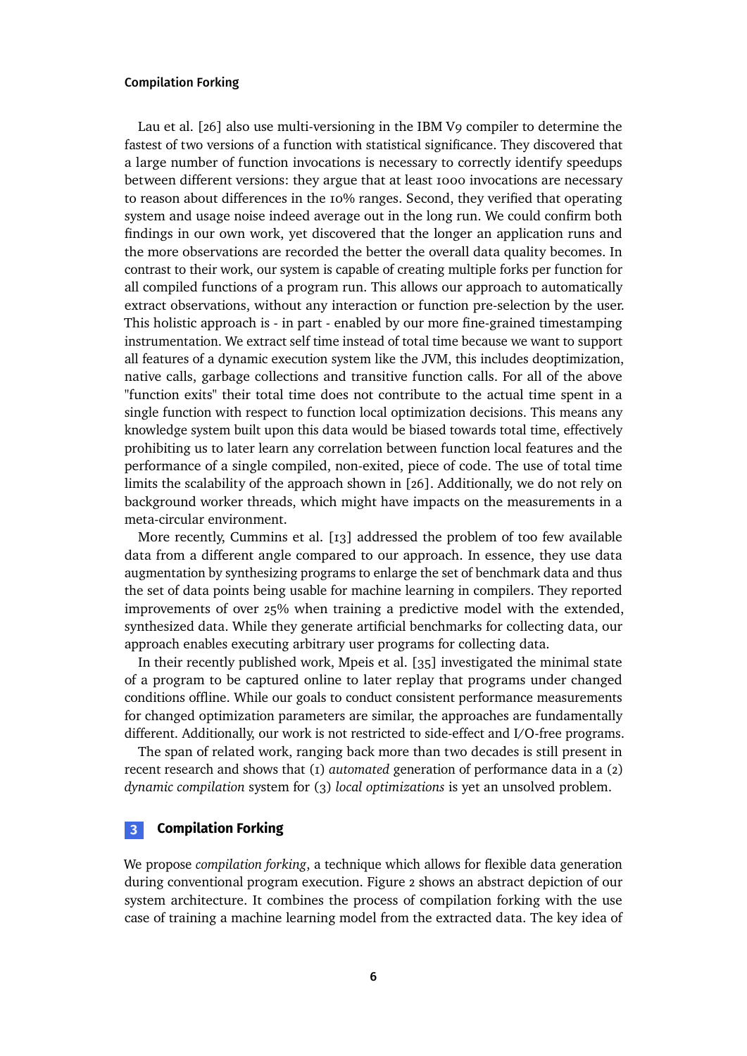Lau et al. [\[26\]](#page-24-5) also use multi-versioning in the IBM V9 compiler to determine the fastest of two versions of a function with statistical significance. They discovered that a large number of function invocations is necessary to correctly identify speedups between different versions: they argue that at least 1000 invocations are necessary to reason about differences in the 10% ranges. Second, they verified that operating system and usage noise indeed average out in the long run. We could confirm both findings in our own work, yet discovered that the longer an application runs and the more observations are recorded the better the overall data quality becomes. In contrast to their work, our system is capable of creating multiple forks per function for all compiled functions of a program run. This allows our approach to automatically extract observations, without any interaction or function pre-selection by the user. This holistic approach is - in part - enabled by our more fine-grained timestamping instrumentation. We extract self time instead of total time because we want to support all features of a dynamic execution system like the JVM, this includes deoptimization, native calls, garbage collections and transitive function calls. For all of the above "function exits" their total time does not contribute to the actual time spent in a single function with respect to function local optimization decisions. This means any knowledge system built upon this data would be biased towards total time, effectively prohibiting us to later learn any correlation between function local features and the performance of a single compiled, non-exited, piece of code. The use of total time limits the scalability of the approach shown in [\[26\]](#page-24-5). Additionally, we do not rely on background worker threads, which might have impacts on the measurements in a meta-circular environment.

More recently, Cummins et al. [\[13\]](#page-23-0) addressed the problem of too few available data from a different angle compared to our approach. In essence, they use data augmentation by synthesizing programs to enlarge the set of benchmark data and thus the set of data points being usable for machine learning in compilers. They reported improvements of over 25% when training a predictive model with the extended, synthesized data. While they generate artificial benchmarks for collecting data, our approach enables executing arbitrary user programs for collecting data.

In their recently published work, Mpeis et al. [\[35\]](#page-25-4) investigated the minimal state of a program to be captured online to later replay that programs under changed conditions offline. While our goals to conduct consistent performance measurements for changed optimization parameters are similar, the approaches are fundamentally different. Additionally, our work is not restricted to side-effect and I/O-free programs.

The span of related work, ranging back more than two decades is still present in recent research and shows that (1) *automated* generation of performance data in a (2) *dynamic compilation* system for (3) *local optimizations* is yet an unsolved problem.

### <span id="page-5-0"></span>**3 Compilation Forking**

We propose *compilation forking*, a technique which allows for flexible data generation during conventional program execution. Figure [2](#page-6-0) shows an abstract depiction of our system architecture. It combines the process of compilation forking with the use case of training a machine learning model from the extracted data. The key idea of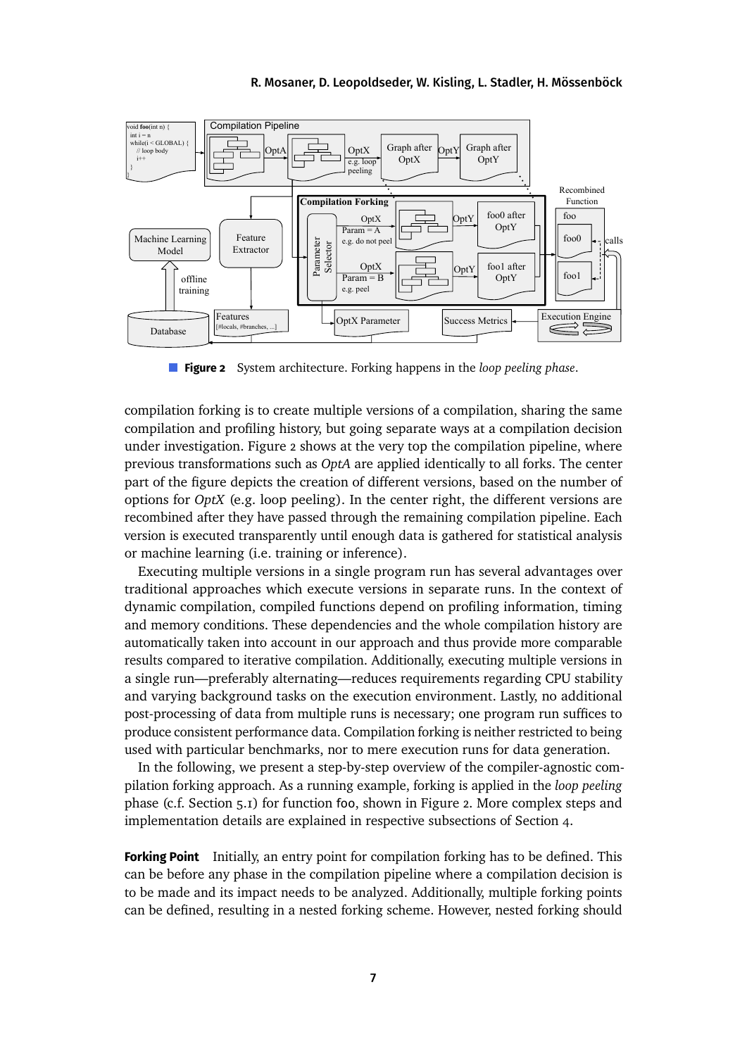<span id="page-6-0"></span>

**Figure 2** System architecture. Forking happens in the *loop peeling phase*.

compilation forking is to create multiple versions of a compilation, sharing the same compilation and profiling history, but going separate ways at a compilation decision under investigation. Figure [2](#page-6-0) shows at the very top the compilation pipeline, where previous transformations such as *OptA* are applied identically to all forks. The center part of the figure depicts the creation of different versions, based on the number of options for *OptX* (e.g. loop peeling). In the center right, the different versions are recombined after they have passed through the remaining compilation pipeline. Each version is executed transparently until enough data is gathered for statistical analysis or machine learning (i.e. training or inference).

Executing multiple versions in a single program run has several advantages over traditional approaches which execute versions in separate runs. In the context of dynamic compilation, compiled functions depend on profiling information, timing and memory conditions. These dependencies and the whole compilation history are automatically taken into account in our approach and thus provide more comparable results compared to iterative compilation. Additionally, executing multiple versions in a single run—preferably alternating—reduces requirements regarding CPU stability and varying background tasks on the execution environment. Lastly, no additional post-processing of data from multiple runs is necessary; one program run suffices to produce consistent performance data. Compilation forking is neither restricted to being used with particular benchmarks, nor to mere execution runs for data generation.

In the following, we present a step-by-step overview of the compiler-agnostic compilation forking approach. As a running example, forking is applied in the *loop peeling* phase (c.f. Section [5.1\)](#page-13-1) for function foo, shown in Figure [2.](#page-6-0) More complex steps and implementation details are explained in respective subsections of Section [4.](#page-9-0)

**Forking Point** Initially, an entry point for compilation forking has to be defined. This can be before any phase in the compilation pipeline where a compilation decision is to be made and its impact needs to be analyzed. Additionally, multiple forking points can be defined, resulting in a nested forking scheme. However, nested forking should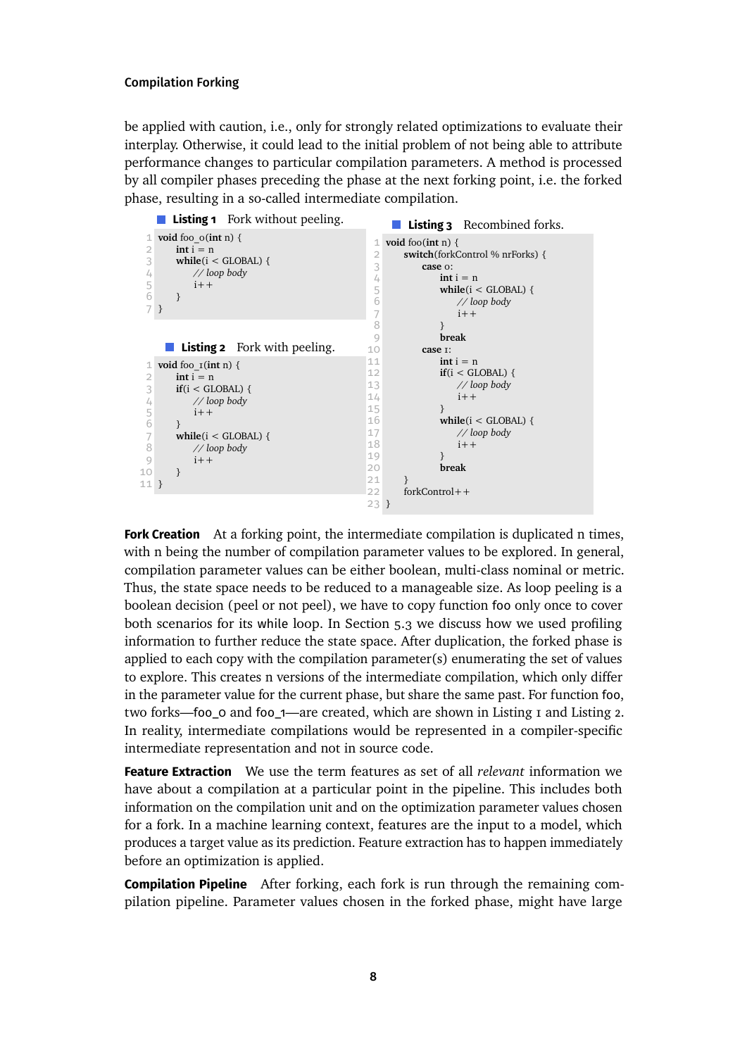be applied with caution, i.e., only for strongly related optimizations to evaluate their interplay. Otherwise, it could lead to the initial problem of not being able to attribute performance changes to particular compilation parameters. A method is processed by all compiler phases preceding the phase at the next forking point, i.e. the forked phase, resulting in a so-called intermediate compilation.

<span id="page-7-2"></span><span id="page-7-1"></span><span id="page-7-0"></span>

**Fork Creation** At a forking point, the intermediate compilation is duplicated n times, with n being the number of compilation parameter values to be explored. In general, compilation parameter values can be either boolean, multi-class nominal or metric. Thus, the state space needs to be reduced to a manageable size. As loop peeling is a boolean decision (peel or not peel), we have to copy function foo only once to cover both scenarios for its while loop. In Section [5.3](#page-14-0) we discuss how we used profiling information to further reduce the state space. After duplication, the forked phase is applied to each copy with the compilation parameter(s) enumerating the set of values to explore. This creates n versions of the intermediate compilation, which only differ in the parameter value for the current phase, but share the same past. For function foo, two forks—foo\_0 and foo\_1—are created, which are shown in Listing [1](#page-7-0) and Listing [2.](#page-7-1) In reality, intermediate compilations would be represented in a compiler-specific intermediate representation and not in source code.

**Feature Extraction** We use the term features as set of all *relevant* information we have about a compilation at a particular point in the pipeline. This includes both information on the compilation unit and on the optimization parameter values chosen for a fork. In a machine learning context, features are the input to a model, which produces a target value as its prediction. Feature extraction has to happen immediately before an optimization is applied.

**Compilation Pipeline** After forking, each fork is run through the remaining compilation pipeline. Parameter values chosen in the forked phase, might have large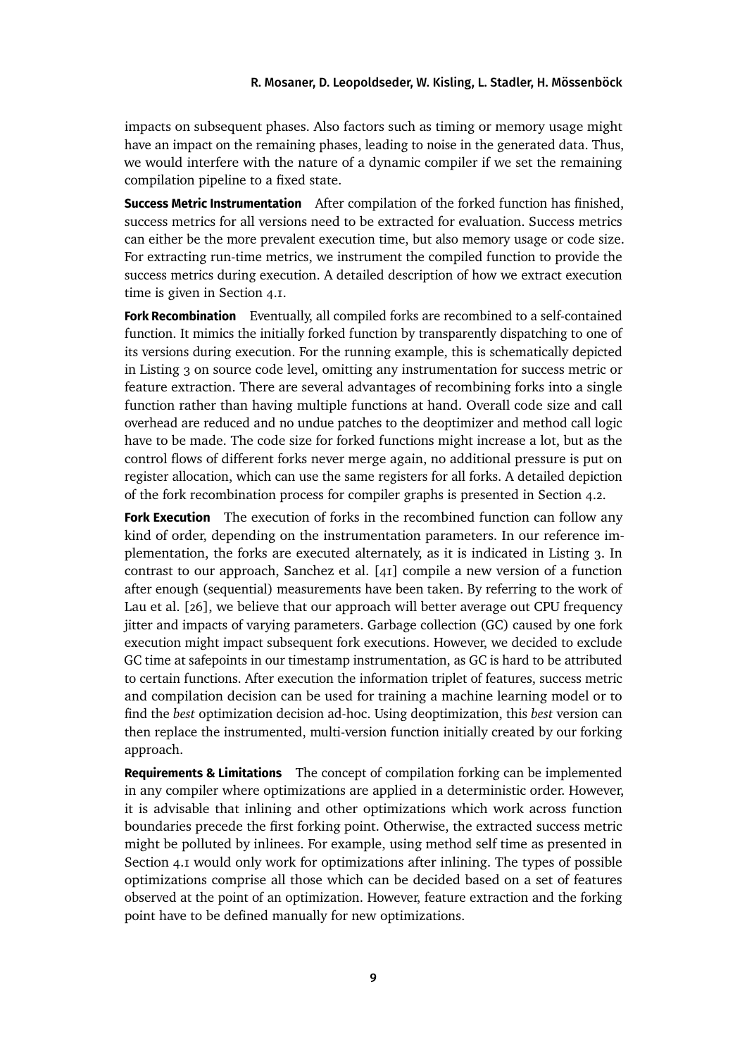impacts on subsequent phases. Also factors such as timing or memory usage might have an impact on the remaining phases, leading to noise in the generated data. Thus, we would interfere with the nature of a dynamic compiler if we set the remaining compilation pipeline to a fixed state.

**Success Metric Instrumentation** After compilation of the forked function has finished, success metrics for all versions need to be extracted for evaluation. Success metrics can either be the more prevalent execution time, but also memory usage or code size. For extracting run-time metrics, we instrument the compiled function to provide the success metrics during execution. A detailed description of how we extract execution time is given in Section [4.1.](#page-9-1)

**Fork Recombination** Eventually, all compiled forks are recombined to a self-contained function. It mimics the initially forked function by transparently dispatching to one of its versions during execution. For the running example, this is schematically depicted in Listing [3](#page-7-2) on source code level, omitting any instrumentation for success metric or feature extraction. There are several advantages of recombining forks into a single function rather than having multiple functions at hand. Overall code size and call overhead are reduced and no undue patches to the deoptimizer and method call logic have to be made. The code size for forked functions might increase a lot, but as the control flows of different forks never merge again, no additional pressure is put on register allocation, which can use the same registers for all forks. A detailed depiction of the fork recombination process for compiler graphs is presented in Section [4.2.](#page-12-0)

**Fork Execution** The execution of forks in the recombined function can follow any kind of order, depending on the instrumentation parameters. In our reference implementation, the forks are executed alternately, as it is indicated in Listing [3.](#page-7-2) In contrast to our approach, Sanchez et al. [\[41\]](#page-26-4) compile a new version of a function after enough (sequential) measurements have been taken. By referring to the work of Lau et al. [\[26\]](#page-24-5), we believe that our approach will better average out CPU frequency jitter and impacts of varying parameters. Garbage collection (GC) caused by one fork execution might impact subsequent fork executions. However, we decided to exclude GC time at safepoints in our timestamp instrumentation, as GC is hard to be attributed to certain functions. After execution the information triplet of features, success metric and compilation decision can be used for training a machine learning model or to find the *best* optimization decision ad-hoc. Using deoptimization, this *best* version can then replace the instrumented, multi-version function initially created by our forking approach.

**Requirements & Limitations** The concept of compilation forking can be implemented in any compiler where optimizations are applied in a deterministic order. However, it is advisable that inlining and other optimizations which work across function boundaries precede the first forking point. Otherwise, the extracted success metric might be polluted by inlinees. For example, using method self time as presented in Section [4.1](#page-9-1) would only work for optimizations after inlining. The types of possible optimizations comprise all those which can be decided based on a set of features observed at the point of an optimization. However, feature extraction and the forking point have to be defined manually for new optimizations.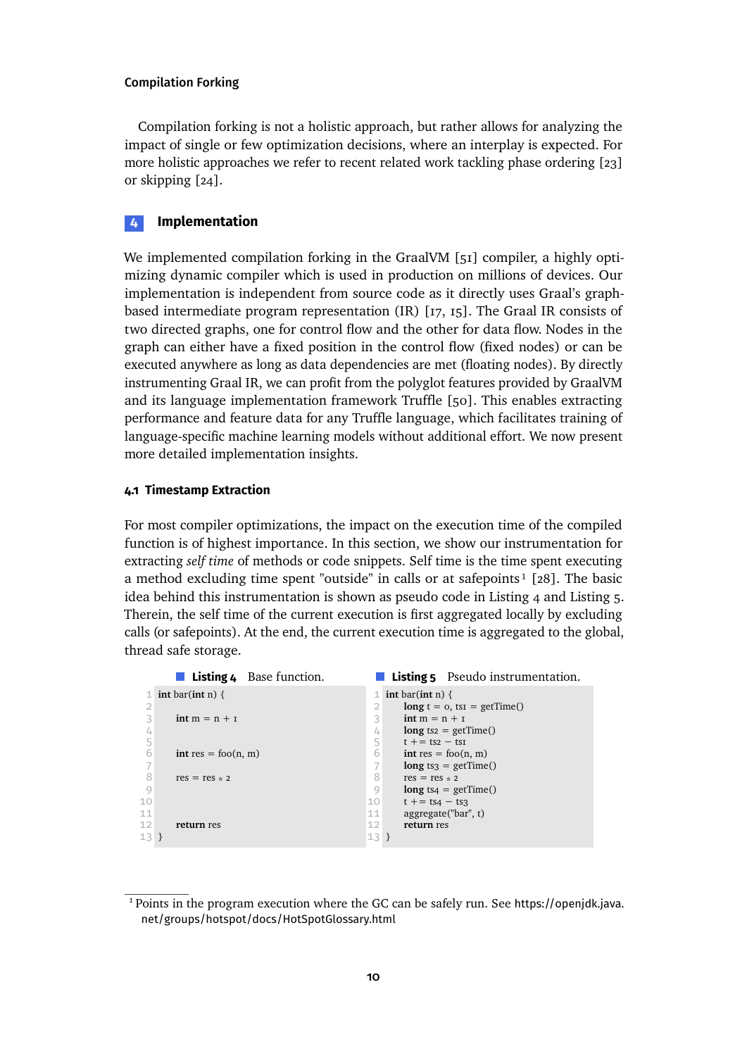Compilation forking is not a holistic approach, but rather allows for analyzing the impact of single or few optimization decisions, where an interplay is expected. For more holistic approaches we refer to recent related work tackling phase ordering [\[23\]](#page-24-3) or skipping [\[24\]](#page-24-2).

### <span id="page-9-0"></span>**4 Implementation**

We implemented compilation forking in the GraalVM [\[51\]](#page-27-0) compiler, a highly optimizing dynamic compiler which is used in production on millions of devices. Our implementation is independent from source code as it directly uses Graal's graphbased intermediate program representation (IR) [\[17,](#page-23-6) [15\]](#page-23-7). The Graal IR consists of two directed graphs, one for control flow and the other for data flow. Nodes in the graph can either have a fixed position in the control flow (fixed nodes) or can be executed anywhere as long as data dependencies are met (floating nodes). By directly instrumenting Graal IR, we can profit from the polyglot features provided by GraalVM and its language implementation framework Truffle [\[50\]](#page-27-2). This enables extracting performance and feature data for any Truffle language, which facilitates training of language-specific machine learning models without additional effort. We now present more detailed implementation insights.

### <span id="page-9-1"></span>**4.1 Timestamp Extraction**

For most compiler optimizations, the impact on the execution time of the compiled function is of highest importance. In this section, we show our instrumentation for extracting *self time* of methods or code snippets. Self time is the time spent executing a method excluding time spent "outside" in calls or at safepoints<sup>1</sup> [\[28\]](#page-24-6). The basic idea behind this instrumentation is shown as pseudo code in Listing [4](#page-9-3) and Listing [5.](#page-9-4) Therein, the self time of the current execution is first aggregated locally by excluding calls (or safepoints). At the end, the current execution time is aggregated to the global, thread safe storage.

<span id="page-9-4"></span><span id="page-9-3"></span>

|        | <b>Listing 4</b> Base function. |        | <b>Listing 5</b> Pseudo instrumentation. |
|--------|---------------------------------|--------|------------------------------------------|
|        | 1 int bar(int n) {              |        | 1 int bar(int n) {                       |
| 2      |                                 |        | $\log t = 0$ , tsi = getTime()           |
|        | $int m = n + r$                 | 3      | $int m = n + r$                          |
|        |                                 | 4      | $\log$ ts <sub>2</sub> = getTime()       |
|        |                                 | 5      | $t + = ts2 - ts1$                        |
|        | $int res = foo(n, m)$           | 6      | $int res = foo(n, m)$                    |
|        |                                 |        | $\log$ ts <sub>3</sub> = getTime()       |
|        | $res = res * 2$                 | 8      | $res = res * 2$                          |
| 9      |                                 | 9      | $\log$ ts4 = getTime()                   |
| 10     |                                 | 10     | $t + = ts4 - ts3$                        |
| 11     |                                 | 11     | aggregate("bar", t)                      |
| 12     | return res                      | 12     | return res                               |
| $13$ } |                                 | $13$ } |                                          |

<span id="page-9-2"></span><sup>1</sup> Points in the program execution where the GC can be safely run. See [https://openjdk.java.](https://openjdk.java.net/groups/hotspot/docs/HotSpotGlossary.html) [net/groups/hotspot/docs/HotSpotGlossary.html](https://openjdk.java.net/groups/hotspot/docs/HotSpotGlossary.html)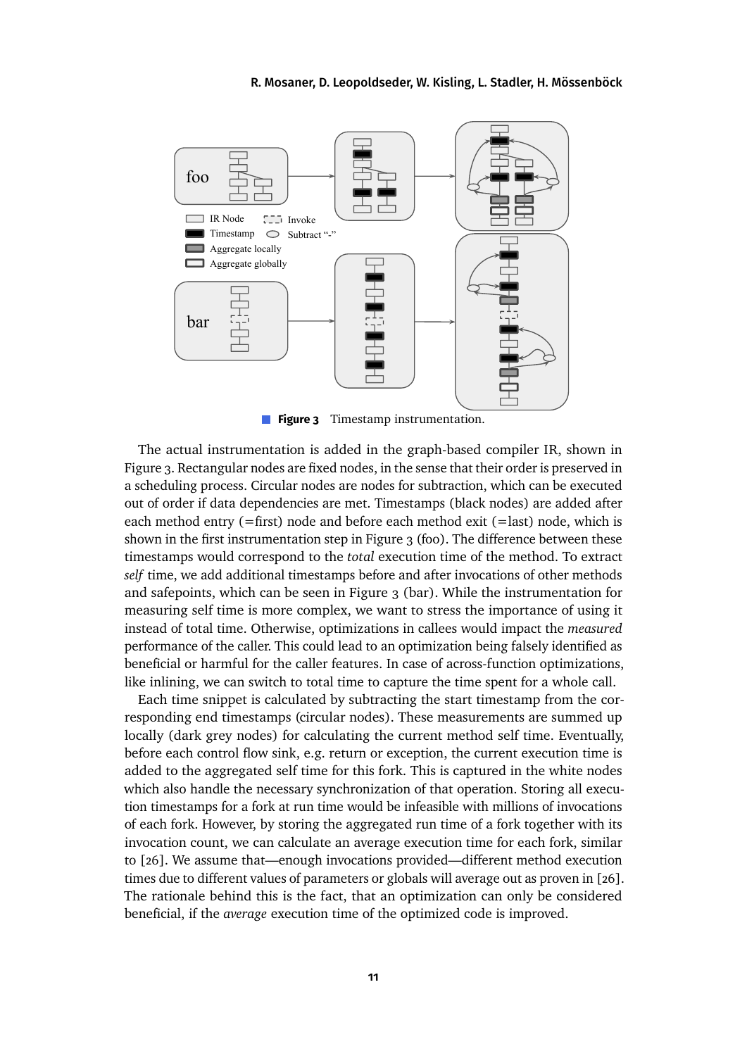<span id="page-10-0"></span>

**Figure 3** Timestamp instrumentation.

The actual instrumentation is added in the graph-based compiler IR, shown in Figure [3.](#page-10-0) Rectangular nodes are fixed nodes, in the sense that their order is preserved in a scheduling process. Circular nodes are nodes for subtraction, which can be executed out of order if data dependencies are met. Timestamps (black nodes) are added after each method entry (=first) node and before each method exit (=last) node, which is shown in the first instrumentation step in Figure [3](#page-10-0) (foo). The difference between these timestamps would correspond to the *total* execution time of the method. To extract *self* time, we add additional timestamps before and after invocations of other methods and safepoints, which can be seen in Figure [3](#page-10-0) (bar). While the instrumentation for measuring self time is more complex, we want to stress the importance of using it instead of total time. Otherwise, optimizations in callees would impact the *measured* performance of the caller. This could lead to an optimization being falsely identified as beneficial or harmful for the caller features. In case of across-function optimizations, like inlining, we can switch to total time to capture the time spent for a whole call.

Each time snippet is calculated by subtracting the start timestamp from the corresponding end timestamps (circular nodes). These measurements are summed up locally (dark grey nodes) for calculating the current method self time. Eventually, before each control flow sink, e.g. return or exception, the current execution time is added to the aggregated self time for this fork. This is captured in the white nodes which also handle the necessary synchronization of that operation. Storing all execution timestamps for a fork at run time would be infeasible with millions of invocations of each fork. However, by storing the aggregated run time of a fork together with its invocation count, we can calculate an average execution time for each fork, similar to [\[26\]](#page-24-5). We assume that—enough invocations provided—different method execution times due to different values of parameters or globals will average out as proven in [\[26\]](#page-24-5). The rationale behind this is the fact, that an optimization can only be considered beneficial, if the *average* execution time of the optimized code is improved.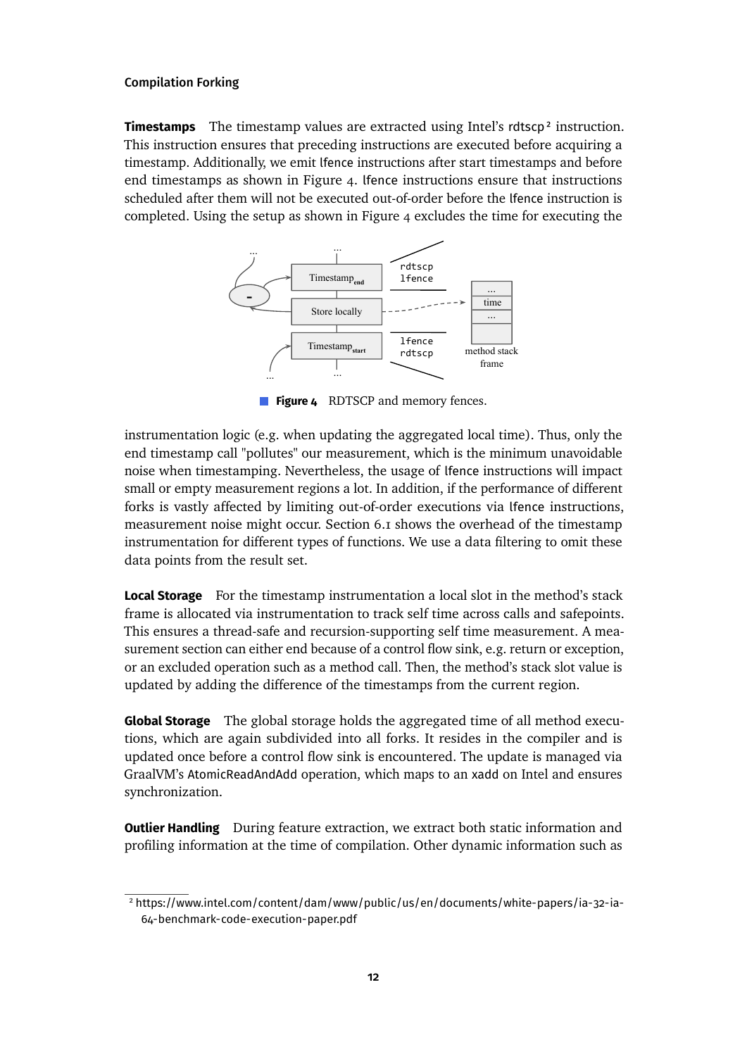**Timestamps** The timestamp values are extracted using Intel's rdtscp<sup>2</sup> instruction. This instruction ensures that preceding instructions are executed before acquiring a timestamp. Additionally, we emit lfence instructions after start timestamps and before end timestamps as shown in Figure [4.](#page-11-1) lfence instructions ensure that instructions scheduled after them will not be executed out-of-order before the lfence instruction is completed. Using the setup as shown in Figure [4](#page-11-1) excludes the time for executing the

<span id="page-11-1"></span>

**Figure 4** RDTSCP and memory fences.

instrumentation logic (e.g. when updating the aggregated local time). Thus, only the end timestamp call "pollutes" our measurement, which is the minimum unavoidable noise when timestamping. Nevertheless, the usage of lfence instructions will impact small or empty measurement regions a lot. In addition, if the performance of different forks is vastly affected by limiting out-of-order executions via lfence instructions, measurement noise might occur. Section [6.1](#page-18-0) shows the overhead of the timestamp instrumentation for different types of functions. We use a data filtering to omit these data points from the result set.

**Local Storage** For the timestamp instrumentation a local slot in the method's stack frame is allocated via instrumentation to track self time across calls and safepoints. This ensures a thread-safe and recursion-supporting self time measurement. A measurement section can either end because of a control flow sink, e.g. return or exception, or an excluded operation such as a method call. Then, the method's stack slot value is updated by adding the difference of the timestamps from the current region.

**Global Storage** The global storage holds the aggregated time of all method executions, which are again subdivided into all forks. It resides in the compiler and is updated once before a control flow sink is encountered. The update is managed via GraalVM's AtomicReadAndAdd operation, which maps to an xadd on Intel and ensures synchronization.

**Outlier Handling** During feature extraction, we extract both static information and profiling information at the time of compilation. Other dynamic information such as

<span id="page-11-0"></span><sup>2</sup> [https://www.intel.com/content/dam/www/public/us/en/documents/white-papers/ia-32-ia-](https://www.intel.com/content/dam/www/public/us/en/documents/white-papers/ia-32-ia-64-benchmark-code-execution-paper.pdf)[64-benchmark-code-execution-paper.pdf](https://www.intel.com/content/dam/www/public/us/en/documents/white-papers/ia-32-ia-64-benchmark-code-execution-paper.pdf)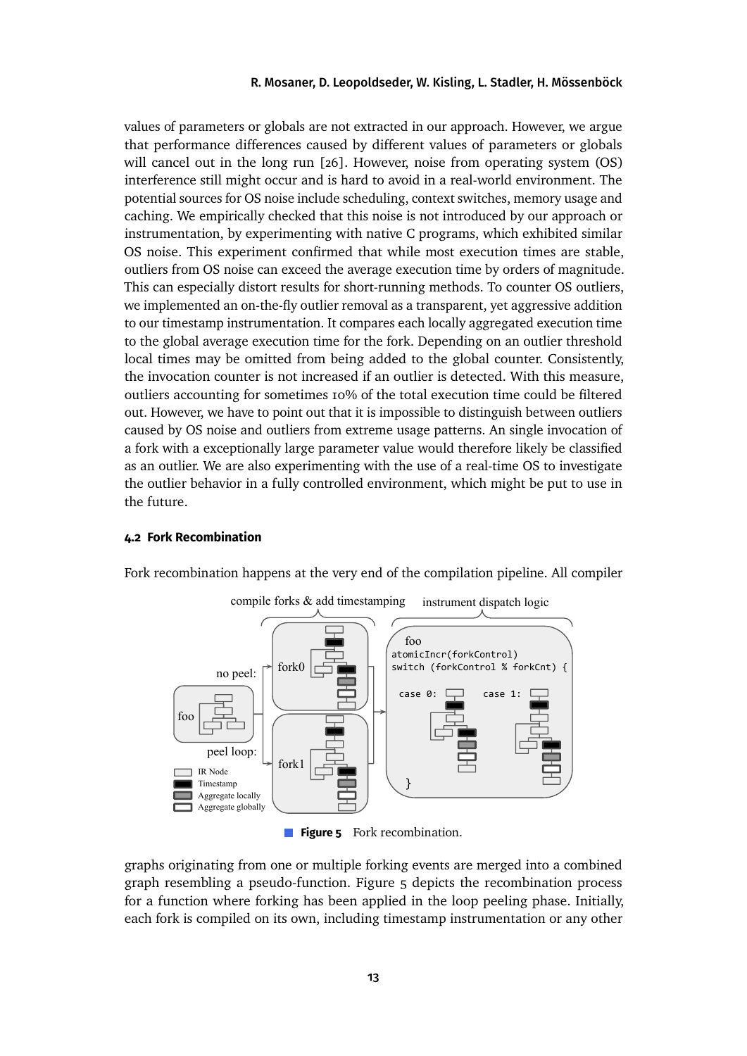values of parameters or globals are not extracted in our approach. However, we argue that performance differences caused by different values of parameters or globals will cancel out in the long run [\[26\]](#page-24-5). However, noise from operating system (OS) interference still might occur and is hard to avoid in a real-world environment. The potential sources for OS noise include scheduling, context switches, memory usage and caching. We empirically checked that this noise is not introduced by our approach or instrumentation, by experimenting with native C programs, which exhibited similar OS noise. This experiment confirmed that while most execution times are stable, outliers from OS noise can exceed the average execution time by orders of magnitude. This can especially distort results for short-running methods. To counter OS outliers, we implemented an on-the-fly outlier removal as a transparent, yet aggressive addition to our timestamp instrumentation. It compares each locally aggregated execution time to the global average execution time for the fork. Depending on an outlier threshold local times may be omitted from being added to the global counter. Consistently, the invocation counter is not increased if an outlier is detected. With this measure, outliers accounting for sometimes 10% of the total execution time could be filtered out. However, we have to point out that it is impossible to distinguish between outliers caused by OS noise and outliers from extreme usage patterns. An single invocation of a fork with a exceptionally large parameter value would therefore likely be classified as an outlier. We are also experimenting with the use of a real-time OS to investigate the outlier behavior in a fully controlled environment, which might be put to use in the future.

### <span id="page-12-0"></span>**4.2 Fork Recombination**



<span id="page-12-1"></span>Fork recombination happens at the very end of the compilation pipeline. All compiler

**Figure 5** Fork recombination.

graphs originating from one or multiple forking events are merged into a combined graph resembling a pseudo-function. Figure [5](#page-12-1) depicts the recombination process for a function where forking has been applied in the loop peeling phase. Initially, each fork is compiled on its own, including timestamp instrumentation or any other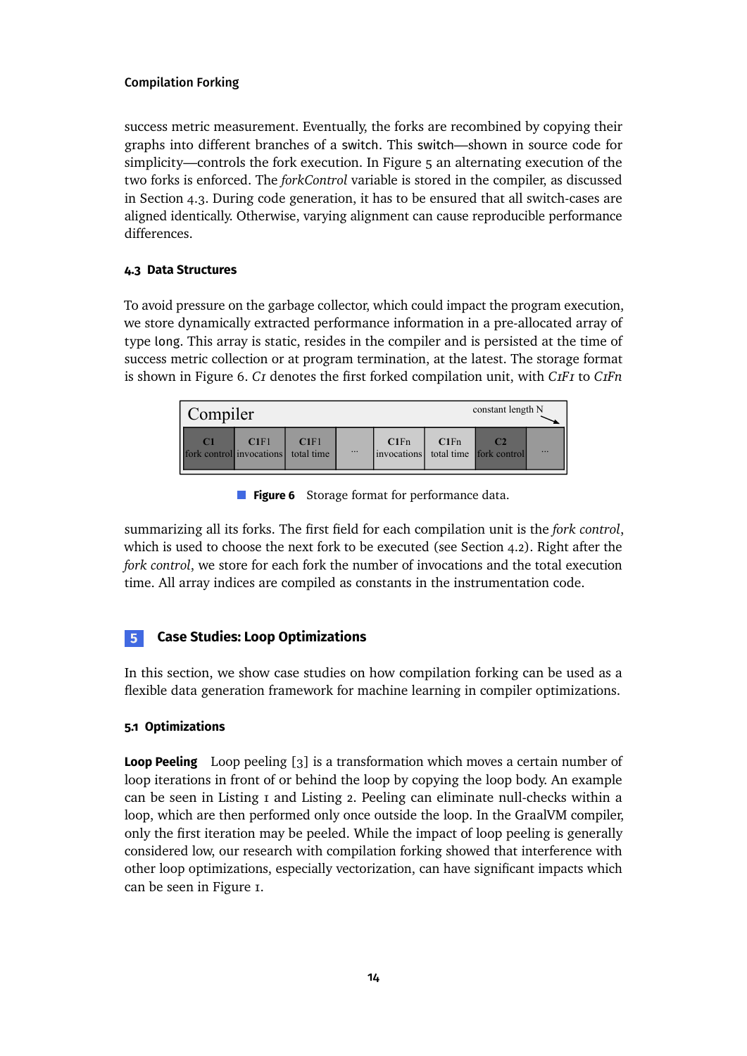success metric measurement. Eventually, the forks are recombined by copying their graphs into different branches of a switch. This switch—shown in source code for simplicity—controls the fork execution. In Figure [5](#page-12-1) an alternating execution of the two forks is enforced. The *forkControl* variable is stored in the compiler, as discussed in Section [4.3.](#page-13-2) During code generation, it has to be ensured that all switch-cases are aligned identically. Otherwise, varying alignment can cause reproducible performance differences.

### <span id="page-13-2"></span>**4.3 Data Structures**

To avoid pressure on the garbage collector, which could impact the program execution, we store dynamically extracted performance information in a pre-allocated array of type long. This array is static, resides in the compiler and is persisted at the time of success metric collection or at program termination, at the latest. The storage format is shown in Figure [6.](#page-13-3) *C1* denotes the first forked compilation unit, with *C1F1* to *C1Fn*

<span id="page-13-3"></span>

| constant length N<br>Compiler              |      |                    |          |                     |      |                         |           |  |  |  |
|--------------------------------------------|------|--------------------|----------|---------------------|------|-------------------------|-----------|--|--|--|
| C <sub>1</sub><br>fork control invocations | CIF1 | C1F1<br>total time | $\cdots$ | C1Fn<br>invocations | C1Fn | total time fork control | $\ddotsc$ |  |  |  |

**Figure 6** Storage format for performance data.

summarizing all its forks. The first field for each compilation unit is the *fork control*, which is used to choose the next fork to be executed (see Section [4.2\)](#page-12-0). Right after the *fork control*, we store for each fork the number of invocations and the total execution time. All array indices are compiled as constants in the instrumentation code.

## <span id="page-13-0"></span>**5 Case Studies: Loop Optimizations**

In this section, we show case studies on how compilation forking can be used as a flexible data generation framework for machine learning in compiler optimizations.

### <span id="page-13-1"></span>**5.1 Optimizations**

**Loop Peeling** Loop peeling [\[3\]](#page-22-7) is a transformation which moves a certain number of loop iterations in front of or behind the loop by copying the loop body. An example can be seen in Listing [1](#page-7-0) and Listing [2.](#page-7-1) Peeling can eliminate null-checks within a loop, which are then performed only once outside the loop. In the GraalVM compiler, only the first iteration may be peeled. While the impact of loop peeling is generally considered low, our research with compilation forking showed that interference with other loop optimizations, especially vectorization, can have significant impacts which can be seen in Figure [1.](#page-2-0)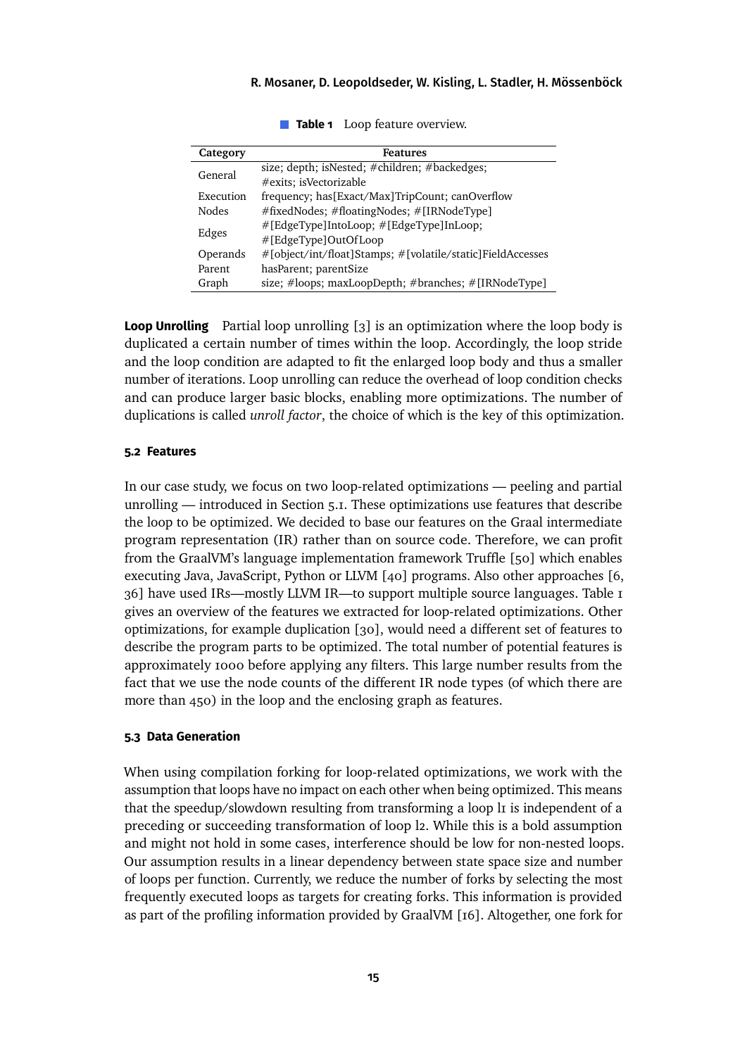<span id="page-14-1"></span>

| Category  | Features                                                   |
|-----------|------------------------------------------------------------|
| General   | size; depth; isNested; #children; #backedges;              |
|           | #exits; isVectorizable                                     |
| Execution | frequency; has[Exact/Max]TripCount; canOverflow            |
| Nodes     | #fixedNodes; #floatingNodes; #[IRNodeType]                 |
|           | #[EdgeType]IntoLoop; #[EdgeType]InLoop;                    |
| Edges     | #[EdgeType]OutOfLoop                                       |
| Operands  | #[object/int/float]Stamps; #[volatile/static]FieldAccesses |
| Parent    | hasParent; parentSize                                      |
| Graph     | size; #loops; maxLoopDepth; #branches; #[IRNodeType]       |

**Table 1** Loop feature overview.

**Loop Unrolling** Partial loop unrolling [\[3\]](#page-22-7) is an optimization where the loop body is duplicated a certain number of times within the loop. Accordingly, the loop stride and the loop condition are adapted to fit the enlarged loop body and thus a smaller number of iterations. Loop unrolling can reduce the overhead of loop condition checks and can produce larger basic blocks, enabling more optimizations. The number of duplications is called *unroll factor*, the choice of which is the key of this optimization.

#### **5.2 Features**

In our case study, we focus on two loop-related optimizations — peeling and partial unrolling — introduced in Section [5.1.](#page-13-1) These optimizations use features that describe the loop to be optimized. We decided to base our features on the Graal intermediate program representation (IR) rather than on source code. Therefore, we can profit from the GraalVM's language implementation framework Truffle [\[50\]](#page-27-2) which enables executing Java, JavaScript, Python or LLVM [\[40\]](#page-26-7) programs. Also other approaches [\[6,](#page-22-5) [36\]](#page-25-2) have used IRs—mostly LLVM IR—to support multiple source languages. Table [1](#page-14-1) gives an overview of the features we extracted for loop-related optimizations. Other optimizations, for example duplication [\[30\]](#page-24-7), would need a different set of features to describe the program parts to be optimized. The total number of potential features is approximately 1000 before applying any filters. This large number results from the fact that we use the node counts of the different IR node types (of which there are more than 450) in the loop and the enclosing graph as features.

### <span id="page-14-0"></span>**5.3 Data Generation**

When using compilation forking for loop-related optimizations, we work with the assumption that loops have no impact on each other when being optimized. This means that the speedup/slowdown resulting from transforming a loop li is independent of a preceding or succeeding transformation of loop l2. While this is a bold assumption and might not hold in some cases, interference should be low for non-nested loops. Our assumption results in a linear dependency between state space size and number of loops per function. Currently, we reduce the number of forks by selecting the most frequently executed loops as targets for creating forks. This information is provided as part of the profiling information provided by GraalVM [\[16\]](#page-23-8). Altogether, one fork for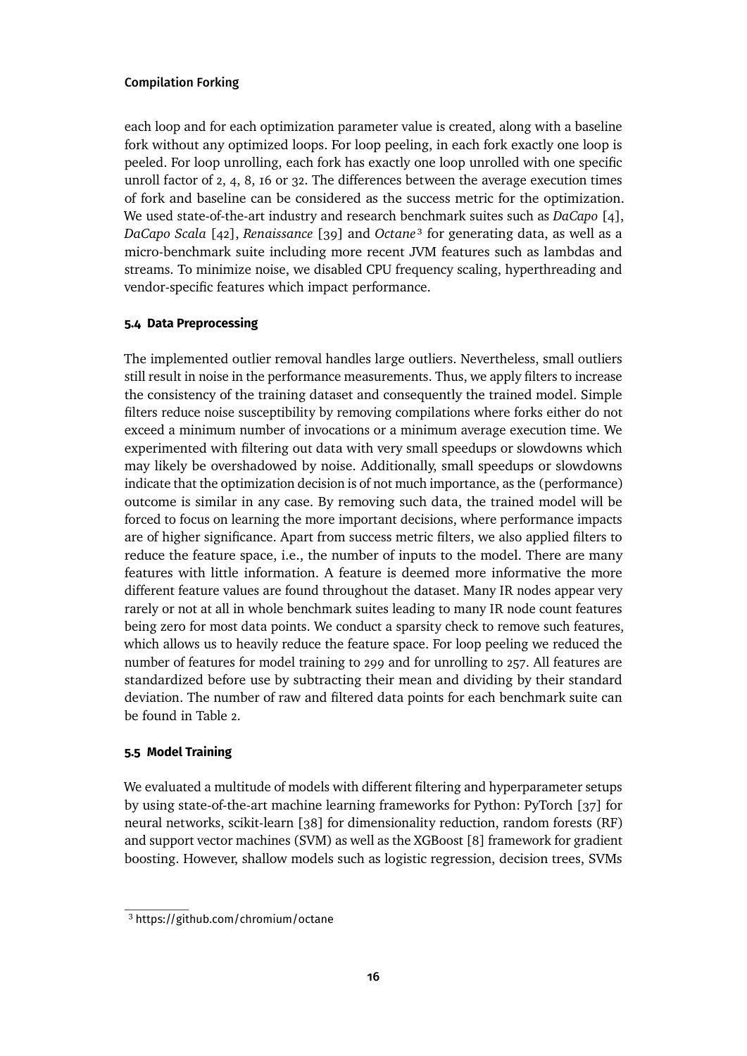each loop and for each optimization parameter value is created, along with a baseline fork without any optimized loops. For loop peeling, in each fork exactly one loop is peeled. For loop unrolling, each fork has exactly one loop unrolled with one specific unroll factor of 2, 4, 8, 16 or 32. The differences between the average execution times of fork and baseline can be considered as the success metric for the optimization. We used state-of-the-art industry and research benchmark suites such as *DaCapo* [\[4\]](#page-22-8), *DaCapo Scala* [\[42\]](#page-26-8), *Renaissance* [\[39\]](#page-25-5) and *Octane*[3](#page-15-0) for generating data, as well as a micro-benchmark suite including more recent JVM features such as lambdas and streams. To minimize noise, we disabled CPU frequency scaling, hyperthreading and vendor-specific features which impact performance.

### **5.4 Data Preprocessing**

The implemented outlier removal handles large outliers. Nevertheless, small outliers still result in noise in the performance measurements. Thus, we apply filters to increase the consistency of the training dataset and consequently the trained model. Simple filters reduce noise susceptibility by removing compilations where forks either do not exceed a minimum number of invocations or a minimum average execution time. We experimented with filtering out data with very small speedups or slowdowns which may likely be overshadowed by noise. Additionally, small speedups or slowdowns indicate that the optimization decision is of not much importance, as the (performance) outcome is similar in any case. By removing such data, the trained model will be forced to focus on learning the more important decisions, where performance impacts are of higher significance. Apart from success metric filters, we also applied filters to reduce the feature space, i.e., the number of inputs to the model. There are many features with little information. A feature is deemed more informative the more different feature values are found throughout the dataset. Many IR nodes appear very rarely or not at all in whole benchmark suites leading to many IR node count features being zero for most data points. We conduct a sparsity check to remove such features, which allows us to heavily reduce the feature space. For loop peeling we reduced the number of features for model training to 299 and for unrolling to 257. All features are standardized before use by subtracting their mean and dividing by their standard deviation. The number of raw and filtered data points for each benchmark suite can be found in Table [2.](#page-16-0)

### **5.5 Model Training**

We evaluated a multitude of models with different filtering and hyperparameter setups by using state-of-the-art machine learning frameworks for Python: PyTorch [\[37\]](#page-25-6) for neural networks, scikit-learn [\[38\]](#page-25-7) for dimensionality reduction, random forests (RF) and support vector machines (SVM) as well as the XGBoost [\[8\]](#page-22-9) framework for gradient boosting. However, shallow models such as logistic regression, decision trees, SVMs

<span id="page-15-0"></span><sup>3</sup> <https://github.com/chromium/octane>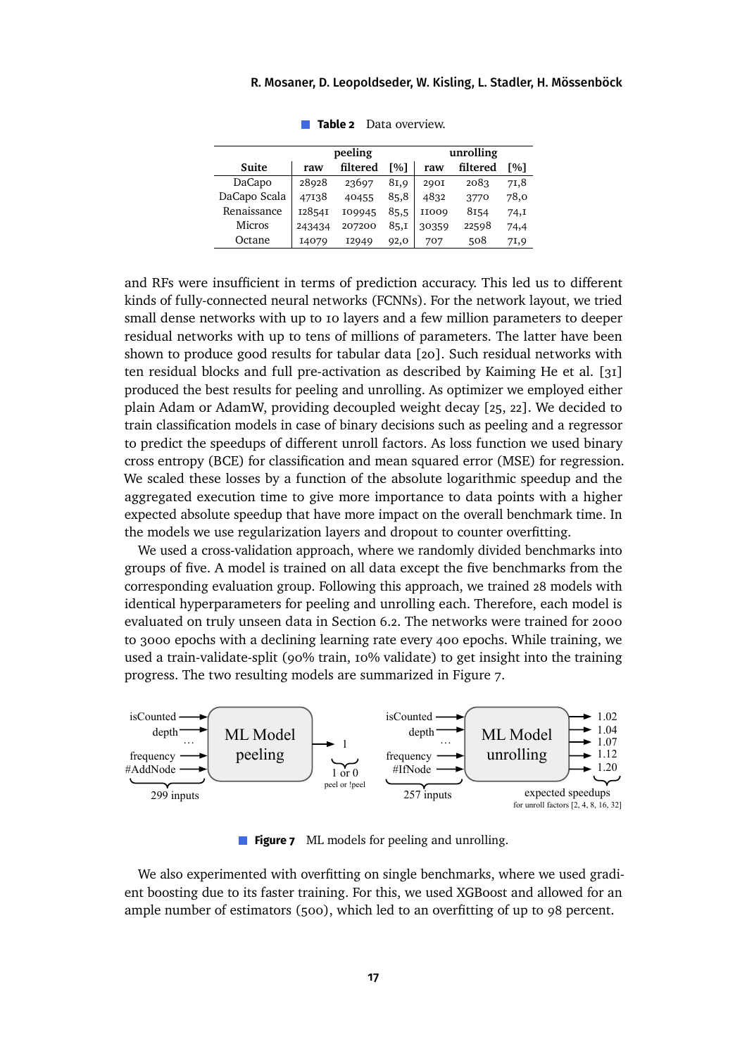<span id="page-16-0"></span>

|               | peeling | unrolling |                    |             |          |       |
|---------------|---------|-----------|--------------------|-------------|----------|-------|
| Suite         | raw     | filtered  | $\lceil 96 \rceil$ | raw         | filtered | Г%1   |
| DaCapo        | 28928   | 23697     | 81,9               | <b>290I</b> | 2083     | 71,8  |
| DaCapo Scala  | 47138   | 40455     | 85,8               | 4832        | 3770     | 78,0  |
| Renaissance   | 128541  | 109945    | 85,5               | II009       | 8154     | 74, I |
| <b>Micros</b> | 243434  | 207200    | 85,1               | 30359       | 22598    | 74,4  |
| Octane        | 14079   | I2949     | 92,0               | 707         | 508      | 71,9  |

**Table 2** Data overview.

and RFs were insufficient in terms of prediction accuracy. This led us to different kinds of fully-connected neural networks (FCNNs). For the network layout, we tried small dense networks with up to 10 layers and a few million parameters to deeper residual networks with up to tens of millions of parameters. The latter have been shown to produce good results for tabular data [\[20\]](#page-23-9). Such residual networks with ten residual blocks and full pre-activation as described by Kaiming He et al. [\[31\]](#page-25-8) produced the best results for peeling and unrolling. As optimizer we employed either plain Adam or AdamW, providing decoupled weight decay [\[25,](#page-24-8) [22\]](#page-24-9). We decided to train classification models in case of binary decisions such as peeling and a regressor to predict the speedups of different unroll factors. As loss function we used binary cross entropy (BCE) for classification and mean squared error (MSE) for regression. We scaled these losses by a function of the absolute logarithmic speedup and the aggregated execution time to give more importance to data points with a higher expected absolute speedup that have more impact on the overall benchmark time. In the models we use regularization layers and dropout to counter overfitting.

We used a cross-validation approach, where we randomly divided benchmarks into groups of five. A model is trained on all data except the five benchmarks from the corresponding evaluation group. Following this approach, we trained 28 models with identical hyperparameters for peeling and unrolling each. Therefore, each model is evaluated on truly unseen data in Section [6.2.](#page-19-0) The networks were trained for 2000 to 3000 epochs with a declining learning rate every 400 epochs. While training, we used a train-validate-split (90% train, 10% validate) to get insight into the training progress. The two resulting models are summarized in Figure [7.](#page-16-1)

<span id="page-16-1"></span>

**Figure 7** ML models for peeling and unrolling.

We also experimented with overfitting on single benchmarks, where we used gradient boosting due to its faster training. For this, we used XGBoost and allowed for an ample number of estimators (500), which led to an overfitting of up to 98 percent.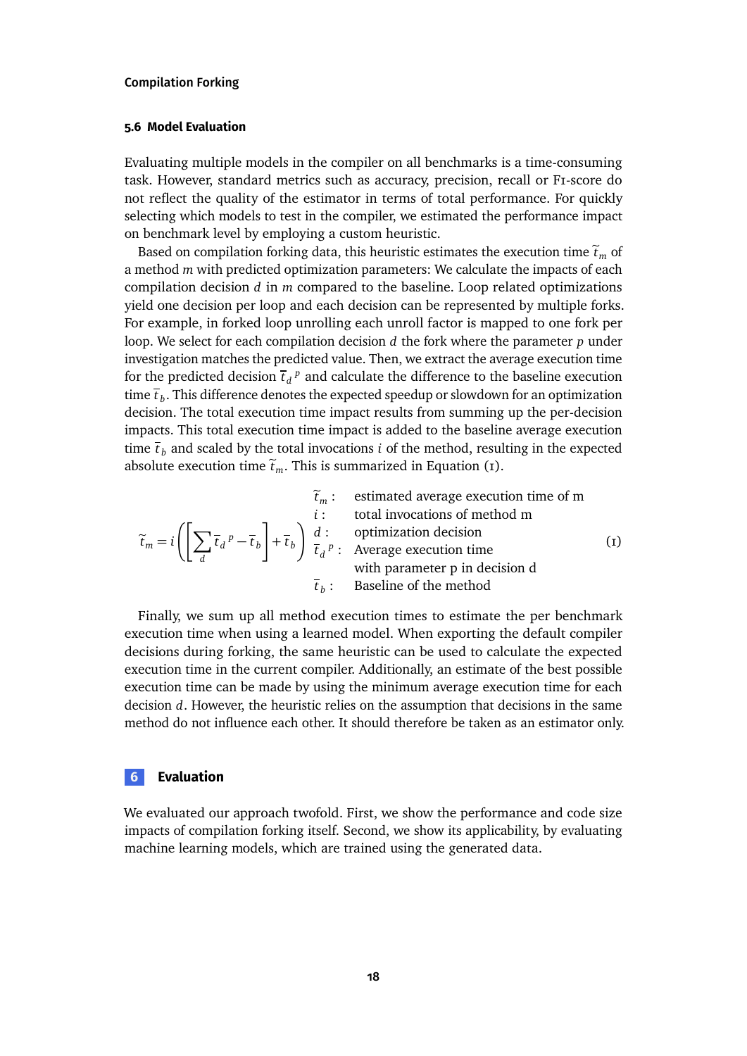#### **5.6 Model Evaluation**

Evaluating multiple models in the compiler on all benchmarks is a time-consuming task. However, standard metrics such as accuracy, precision, recall or F1-score do not reflect the quality of the estimator in terms of total performance. For quickly selecting which models to test in the compiler, we estimated the performance impact on benchmark level by employing a custom heuristic.

Based on compilation forking data, this heuristic estimates the execution time  $\tilde{t}_m$  of a method *m* with predicted optimization parameters: We calculate the impacts of each compilation decision *d* in *m* compared to the baseline. Loop related optimizations yield one decision per loop and each decision can be represented by multiple forks. For example, in forked loop unrolling each unroll factor is mapped to one fork per loop. We select for each compilation decision *d* the fork where the parameter *p* under investigation matches the predicted value. Then, we extract the average execution time for the predicted decision  $\bar{t}_d{}^p$  and calculate the difference to the baseline execution time  $\bar{t}_b$ . This difference denotes the expected speedup or slowdown for an optimization decision. The total execution time impact results from summing up the per-decision impacts. This total execution time impact is added to the baseline average execution time  $\bar{t}_b$  and scaled by the total invocations *i* of the method, resulting in the expected absolute execution time  $\tilde{t}_m$ . This is summarized in Equation [\(1\)](#page-17-1).

<span id="page-17-1"></span>
$$
\tilde{t}_m: \quad \text{estimated average execution time of m} \\
\tilde{t}_m = i \left( \left[ \sum_d \bar{t}_d{}^p - \bar{t}_b \right] + \bar{t}_b \right) \frac{d}{\bar{t}_d} \quad \text{optimization decision} \\
\text{average execution time} \\
\text{with parameter p in decision} \\
\tilde{t}_b: \quad \text{Baseline of the method}\n\tag{1}
$$

Finally, we sum up all method execution times to estimate the per benchmark execution time when using a learned model. When exporting the default compiler decisions during forking, the same heuristic can be used to calculate the expected execution time in the current compiler. Additionally, an estimate of the best possible execution time can be made by using the minimum average execution time for each decision *d*. However, the heuristic relies on the assumption that decisions in the same method do not influence each other. It should therefore be taken as an estimator only.

### <span id="page-17-0"></span>**6 Evaluation**

We evaluated our approach twofold. First, we show the performance and code size impacts of compilation forking itself. Second, we show its applicability, by evaluating machine learning models, which are trained using the generated data.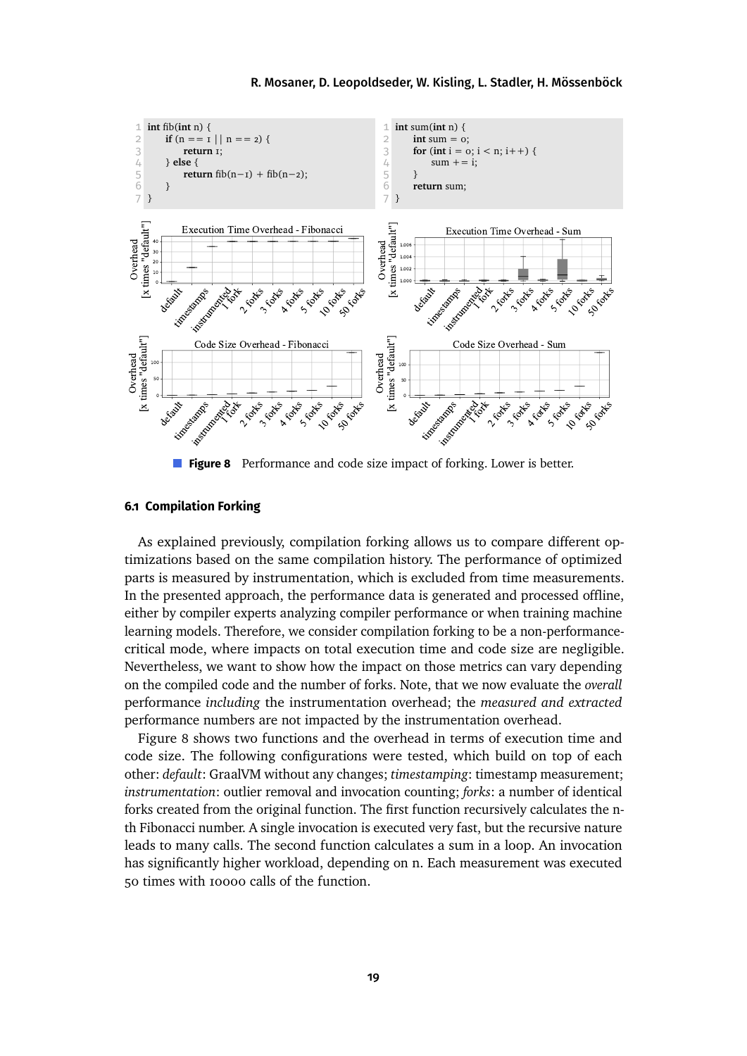<span id="page-18-1"></span>

r. **Figure 8** Performance and code size impact of forking. Lower is better.

### <span id="page-18-0"></span>**6.1 Compilation Forking**

As explained previously, compilation forking allows us to compare different optimizations based on the same compilation history. The performance of optimized parts is measured by instrumentation, which is excluded from time measurements. In the presented approach, the performance data is generated and processed offline, either by compiler experts analyzing compiler performance or when training machine learning models. Therefore, we consider compilation forking to be a non-performancecritical mode, where impacts on total execution time and code size are negligible. Nevertheless, we want to show how the impact on those metrics can vary depending on the compiled code and the number of forks. Note, that we now evaluate the *overall* performance *including* the instrumentation overhead; the *measured and extracted* performance numbers are not impacted by the instrumentation overhead.

Figure [8](#page-18-1) shows two functions and the overhead in terms of execution time and code size. The following configurations were tested, which build on top of each other: *default*: GraalVM without any changes; *timestamping*: timestamp measurement; *instrumentation*: outlier removal and invocation counting; *forks*: a number of identical forks created from the original function. The first function recursively calculates the nth Fibonacci number. A single invocation is executed very fast, but the recursive nature leads to many calls. The second function calculates a sum in a loop. An invocation has significantly higher workload, depending on n. Each measurement was executed 50 times with 10000 calls of the function.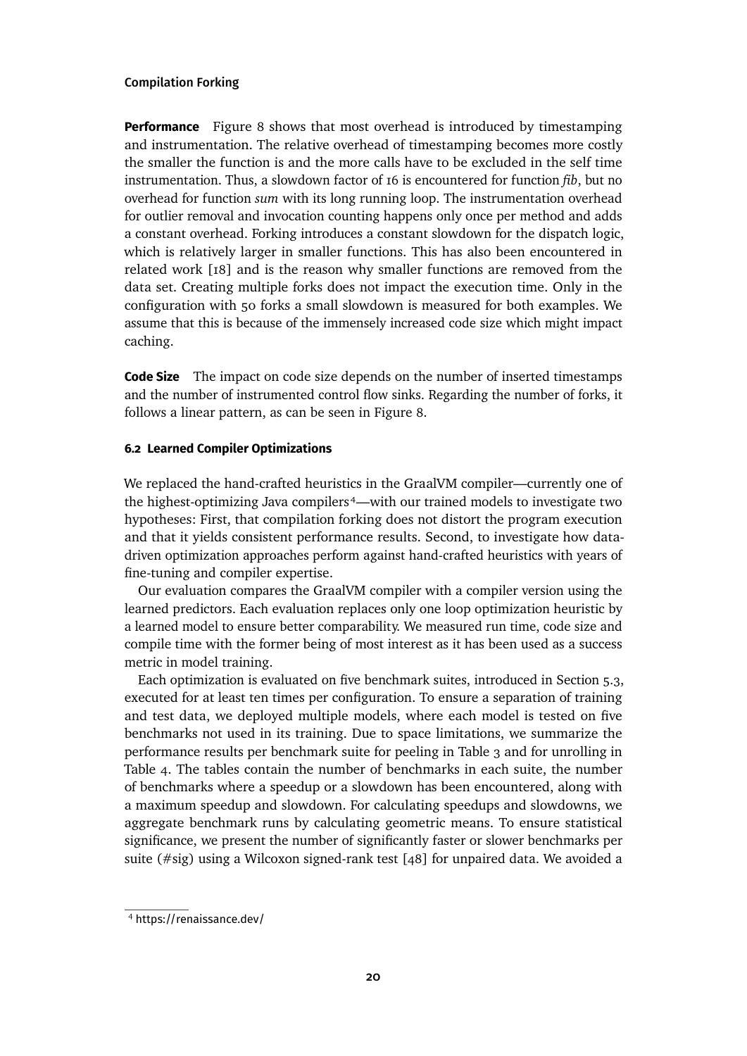**Performance** Figure [8](#page-18-1) shows that most overhead is introduced by timestamping and instrumentation. The relative overhead of timestamping becomes more costly the smaller the function is and the more calls have to be excluded in the self time instrumentation. Thus, a slowdown factor of 16 is encountered for function *fib*, but no overhead for function *sum* with its long running loop. The instrumentation overhead for outlier removal and invocation counting happens only once per method and adds a constant overhead. Forking introduces a constant slowdown for the dispatch logic, which is relatively larger in smaller functions. This has also been encountered in related work [\[18\]](#page-23-5) and is the reason why smaller functions are removed from the data set. Creating multiple forks does not impact the execution time. Only in the configuration with 50 forks a small slowdown is measured for both examples. We assume that this is because of the immensely increased code size which might impact caching.

**Code Size** The impact on code size depends on the number of inserted timestamps and the number of instrumented control flow sinks. Regarding the number of forks, it follows a linear pattern, as can be seen in Figure [8.](#page-18-1)

### <span id="page-19-0"></span>**6.2 Learned Compiler Optimizations**

We replaced the hand-crafted heuristics in the GraalVM compiler—currently one of the highest-optimizing Java compilers<sup>4</sup>—with our trained models to investigate two hypotheses: First, that compilation forking does not distort the program execution and that it yields consistent performance results. Second, to investigate how datadriven optimization approaches perform against hand-crafted heuristics with years of fine-tuning and compiler expertise.

Our evaluation compares the GraalVM compiler with a compiler version using the learned predictors. Each evaluation replaces only one loop optimization heuristic by a learned model to ensure better comparability. We measured run time, code size and compile time with the former being of most interest as it has been used as a success metric in model training.

Each optimization is evaluated on five benchmark suites, introduced in Section [5.3,](#page-14-0) executed for at least ten times per configuration. To ensure a separation of training and test data, we deployed multiple models, where each model is tested on five benchmarks not used in its training. Due to space limitations, we summarize the performance results per benchmark suite for peeling in Table [3](#page-20-0) and for unrolling in Table [4.](#page-20-1) The tables contain the number of benchmarks in each suite, the number of benchmarks where a speedup or a slowdown has been encountered, along with a maximum speedup and slowdown. For calculating speedups and slowdowns, we aggregate benchmark runs by calculating geometric means. To ensure statistical significance, we present the number of significantly faster or slower benchmarks per suite (#sig) using a Wilcoxon signed-rank test [\[48\]](#page-26-9) for unpaired data. We avoided a

<span id="page-19-1"></span><sup>4</sup> <https://renaissance.dev/>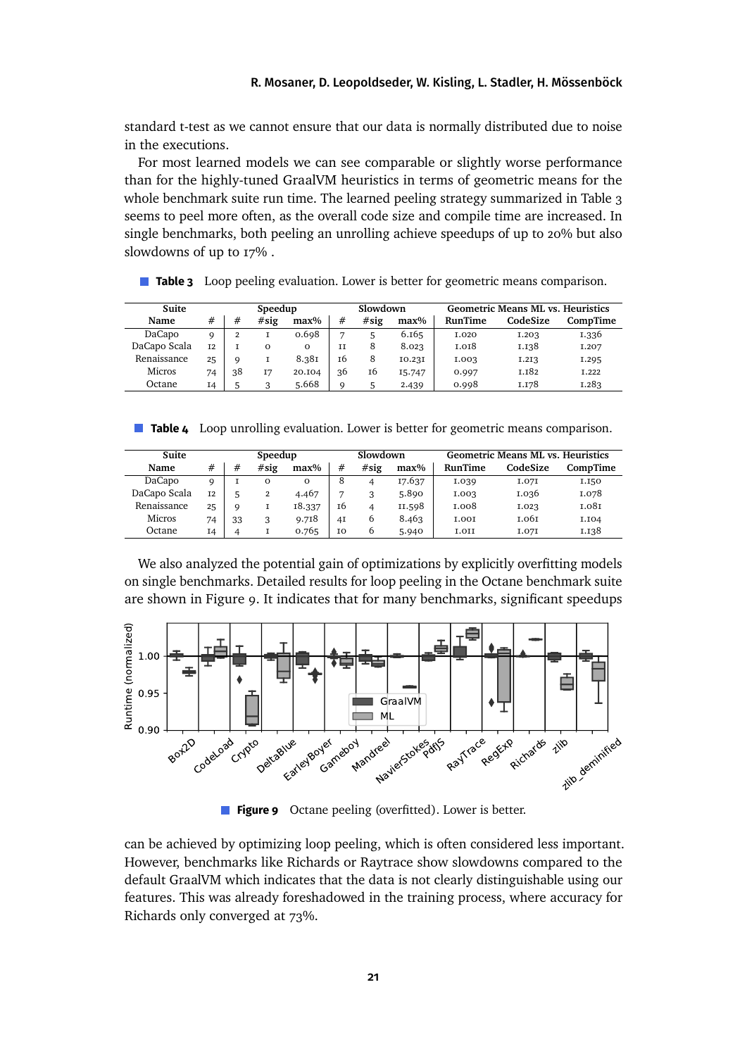standard t-test as we cannot ensure that our data is normally distributed due to noise in the executions.

For most learned models we can see comparable or slightly worse performance than for the highly-tuned GraalVM heuristics in terms of geometric means for the whole benchmark suite run time. The learned peeling strategy summarized in Table [3](#page-20-0) seems to peel more often, as the overall code size and compile time are increased. In single benchmarks, both peeling an unrolling achieve speedups of up to 20% but also slowdowns of up to 17% .

<span id="page-20-0"></span>**Table 3** Loop peeling evaluation. Lower is better for geometric means comparison.

| Suite         |                |    | Speedup  |          | Slowdown       |      |         | <b>Geometric Means ML vs. Heuristics</b> |          |          |
|---------------|----------------|----|----------|----------|----------------|------|---------|------------------------------------------|----------|----------|
| Name          | #              | #  | #sig     | $max\%$  | #              | #sig | $max\%$ | <b>RunTime</b>                           | CodeSize | CompTime |
| DaCapo        | Q              |    |          | 0.698    | $\overline{ }$ |      | 6.165   | I.020                                    | I.203    | 1.336    |
| DaCapo Scala  | T <sub>2</sub> |    | $\Omega$ | $\Omega$ | II             | 8    | 8.023   | <b>I.OI8</b>                             | I.I38    | I.207    |
| Renaissance   | 25             | Q  |          | 8.381    | т6             | 8    | 10.231  | I.003                                    | I.2I3    | I.295    |
| <b>Micros</b> | 74             | 38 | I7       | 20.104   | 36             | 16   | 15.747  | 0.997                                    | I.I82    | T.222    |
| Octane        | I4             |    | 3        | 5.668    | Q              |      | 2.439   | 0.998                                    | I.I78    | I.283    |

<span id="page-20-1"></span>**Table 4** Loop unrolling evaluation. Lower is better for geometric means comparison.

| Suite         |           | Speedup |          |          |    | Slowdown |         | <b>Geometric Means ML vs. Heuristics</b> |          |          |
|---------------|-----------|---------|----------|----------|----|----------|---------|------------------------------------------|----------|----------|
| Name          | #         | #       | #sig     | $max\%$  | #  | #sig     | $max\%$ | <b>RunTime</b>                           | CodeSize | CompTime |
| DaCapo        | Q         |         | $\Omega$ | $\Omega$ | 8  |          | 17.637  | I.039                                    | I.07I    | I.I50    |
| DaCapo Scala  | <b>I2</b> |         |          | 4.467    | Ð  |          | 5.890   | I.003                                    | I.036    | I.078    |
| Renaissance   | 25        | Q       |          | 18.337   | 16 |          | II.598  | 1.008                                    | I.023    | 1.081    |
| <b>Micros</b> | 74        | 33      | 3        | 9.718    | 4I | b        | 8.463   | <b>LOOT</b>                              | т.о6т    | I.I04    |
| Octane        | I4        |         |          | 0.765    | IO | 6        | 5.940   | I.OII                                    | I.07I    | 1.138    |

We also analyzed the potential gain of optimizations by explicitly overfitting models on single benchmarks. Detailed results for loop peeling in the Octane benchmark suite are shown in Figure [9.](#page-20-2) It indicates that for many benchmarks, significant speedups

<span id="page-20-2"></span>

**Figure 9** Octane peeling (overfitted). Lower is better.

can be achieved by optimizing loop peeling, which is often considered less important. However, benchmarks like Richards or Raytrace show slowdowns compared to the default GraalVM which indicates that the data is not clearly distinguishable using our features. This was already foreshadowed in the training process, where accuracy for Richards only converged at 73%.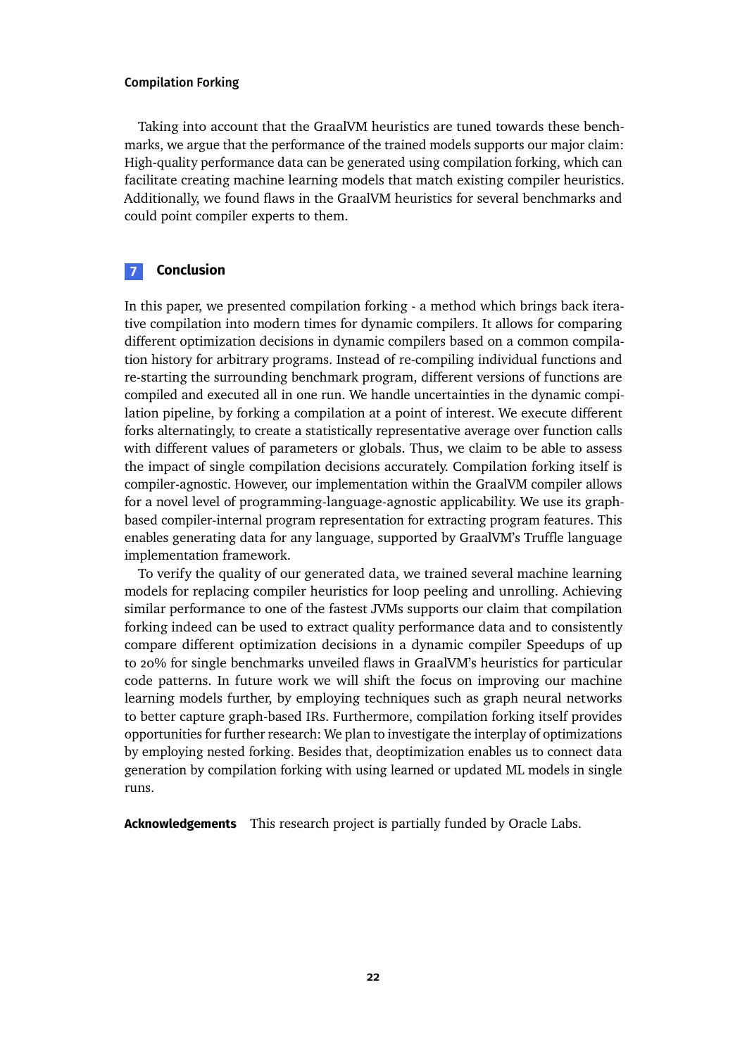Taking into account that the GraalVM heuristics are tuned towards these benchmarks, we argue that the performance of the trained models supports our major claim: High-quality performance data can be generated using compilation forking, which can facilitate creating machine learning models that match existing compiler heuristics. Additionally, we found flaws in the GraalVM heuristics for several benchmarks and could point compiler experts to them.

### **7 Conclusion**

In this paper, we presented compilation forking - a method which brings back iterative compilation into modern times for dynamic compilers. It allows for comparing different optimization decisions in dynamic compilers based on a common compilation history for arbitrary programs. Instead of re-compiling individual functions and re-starting the surrounding benchmark program, different versions of functions are compiled and executed all in one run. We handle uncertainties in the dynamic compilation pipeline, by forking a compilation at a point of interest. We execute different forks alternatingly, to create a statistically representative average over function calls with different values of parameters or globals. Thus, we claim to be able to assess the impact of single compilation decisions accurately. Compilation forking itself is compiler-agnostic. However, our implementation within the GraalVM compiler allows for a novel level of programming-language-agnostic applicability. We use its graphbased compiler-internal program representation for extracting program features. This enables generating data for any language, supported by GraalVM's Truffle language implementation framework.

To verify the quality of our generated data, we trained several machine learning models for replacing compiler heuristics for loop peeling and unrolling. Achieving similar performance to one of the fastest JVMs supports our claim that compilation forking indeed can be used to extract quality performance data and to consistently compare different optimization decisions in a dynamic compiler Speedups of up to 20% for single benchmarks unveiled flaws in GraalVM's heuristics for particular code patterns. In future work we will shift the focus on improving our machine learning models further, by employing techniques such as graph neural networks to better capture graph-based IRs. Furthermore, compilation forking itself provides opportunities for further research: We plan to investigate the interplay of optimizations by employing nested forking. Besides that, deoptimization enables us to connect data generation by compilation forking with using learned or updated ML models in single runs.

**Acknowledgements** This research project is partially funded by Oracle Labs.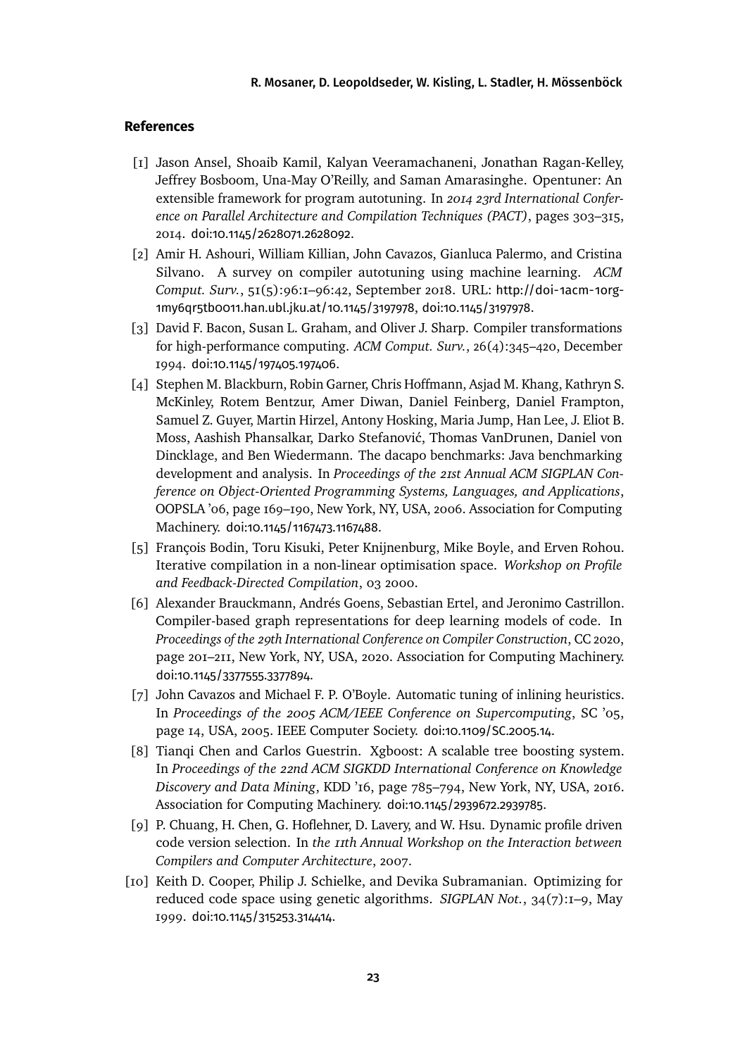### **References**

- <span id="page-22-3"></span>[1] Jason Ansel, Shoaib Kamil, Kalyan Veeramachaneni, Jonathan Ragan-Kelley, Jeffrey Bosboom, Una-May O'Reilly, and Saman Amarasinghe. Opentuner: An extensible framework for program autotuning. In *2014 23rd International Conference on Parallel Architecture and Compilation Techniques (PACT)*, pages 303–315, 2014. [doi:10.1145/2628071.2628092](https://doi.org/10.1145/2628071.2628092).
- <span id="page-22-0"></span>[2] Amir H. Ashouri, William Killian, John Cavazos, Gianluca Palermo, and Cristina Silvano. A survey on compiler autotuning using machine learning. *ACM Comput. Surv.*, 51(5):96:1–96:42, September 2018. URL: [http://doi-1acm-1org-](http://doi-1acm-1org-1my6qr5tb0011.han.ubl.jku.at/10.1145/3197978)[1my6qr5tb0011.han.ubl.jku.at/10.1145/3197978](http://doi-1acm-1org-1my6qr5tb0011.han.ubl.jku.at/10.1145/3197978), [doi:10.1145/3197978](https://doi.org/10.1145/3197978).
- <span id="page-22-7"></span>[3] David F. Bacon, Susan L. Graham, and Oliver J. Sharp. Compiler transformations for high-performance computing. *ACM Comput. Surv.*, 26(4):345–420, December 1994. [doi:10.1145/197405.197406](https://doi.org/10.1145/197405.197406).
- <span id="page-22-8"></span>[4] Stephen M. Blackburn, Robin Garner, Chris Hoffmann, Asjad M. Khang, Kathryn S. McKinley, Rotem Bentzur, Amer Diwan, Daniel Feinberg, Daniel Frampton, Samuel Z. Guyer, Martin Hirzel, Antony Hosking, Maria Jump, Han Lee, J. Eliot B. Moss, Aashish Phansalkar, Darko Stefanović, Thomas VanDrunen, Daniel von Dincklage, and Ben Wiedermann. The dacapo benchmarks: Java benchmarking development and analysis. In *Proceedings of the 21st Annual ACM SIGPLAN Conference on Object-Oriented Programming Systems, Languages, and Applications*, OOPSLA '06, page 169–190, New York, NY, USA, 2006. Association for Computing Machinery. [doi:10.1145/1167473.1167488](https://doi.org/10.1145/1167473.1167488).
- <span id="page-22-1"></span>[5] François Bodin, Toru Kisuki, Peter Knijnenburg, Mike Boyle, and Erven Rohou. Iterative compilation in a non-linear optimisation space. *Workshop on Profile and Feedback-Directed Compilation*, 03 2000.
- <span id="page-22-5"></span>[6] Alexander Brauckmann, Andrés Goens, Sebastian Ertel, and Jeronimo Castrillon. Compiler-based graph representations for deep learning models of code. In *Proceedings of the 29th International Conference on Compiler Construction*, CC 2020, page 201–211, New York, NY, USA, 2020. Association for Computing Machinery. [doi:10.1145/3377555.3377894](https://doi.org/10.1145/3377555.3377894).
- <span id="page-22-4"></span>[7] John Cavazos and Michael F. P. O'Boyle. Automatic tuning of inlining heuristics. In *Proceedings of the 2005 ACM/IEEE Conference on Supercomputing*, SC '05, page 14, USA, 2005. IEEE Computer Society. [doi:10.1109/SC.2005.14](https://doi.org/10.1109/SC.2005.14).
- <span id="page-22-9"></span>[8] Tianqi Chen and Carlos Guestrin. Xgboost: A scalable tree boosting system. In *Proceedings of the 22nd ACM SIGKDD International Conference on Knowledge Discovery and Data Mining*, KDD '16, page 785–794, New York, NY, USA, 2016. Association for Computing Machinery. [doi:10.1145/2939672.2939785](https://doi.org/10.1145/2939672.2939785).
- <span id="page-22-6"></span>[9] P. Chuang, H. Chen, G. Hoflehner, D. Lavery, and W. Hsu. Dynamic profile driven code version selection. In *the 11th Annual Workshop on the Interaction between Compilers and Computer Architecture*, 2007.
- <span id="page-22-2"></span>[10] Keith D. Cooper, Philip J. Schielke, and Devika Subramanian. Optimizing for reduced code space using genetic algorithms. *SIGPLAN Not.*, 34(7):1–9, May 1999. [doi:10.1145/315253.314414](https://doi.org/10.1145/315253.314414).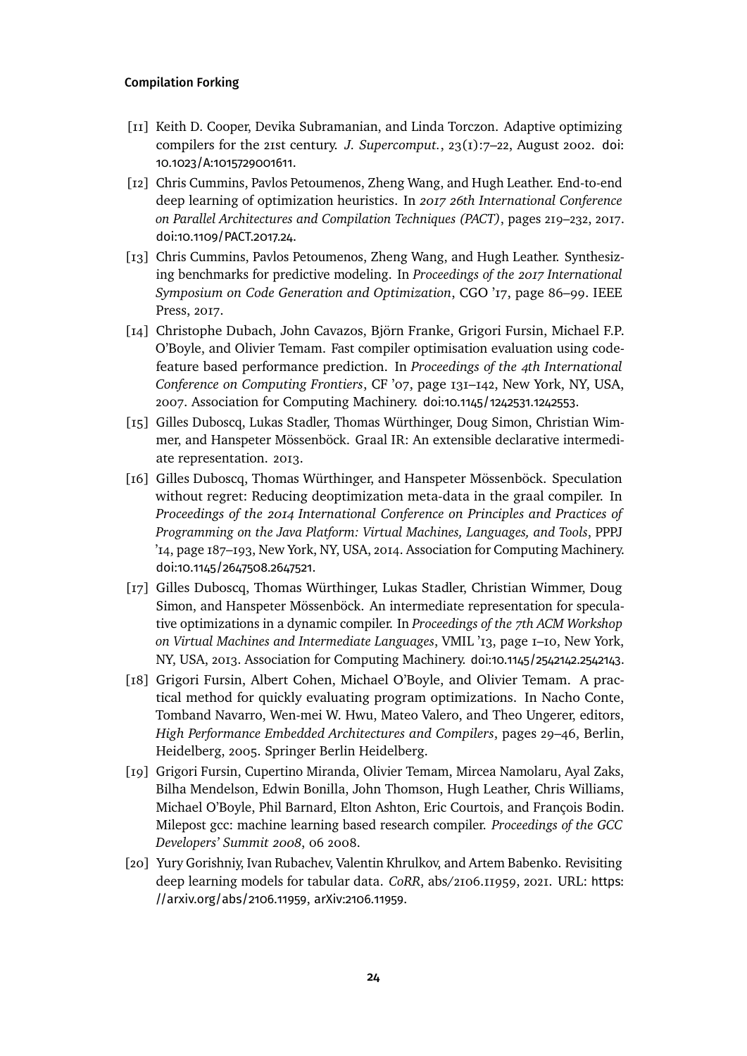- <span id="page-23-2"></span>[11] Keith D. Cooper, Devika Subramanian, and Linda Torczon. Adaptive optimizing compilers for the 21st century. *J. Supercomput.*, 23(1):7–22, August 2002. [doi:](https://doi.org/10.1023/A:1015729001611) [10.1023/A:1015729001611](https://doi.org/10.1023/A:1015729001611).
- <span id="page-23-3"></span>[12] Chris Cummins, Pavlos Petoumenos, Zheng Wang, and Hugh Leather. End-to-end deep learning of optimization heuristics. In *2017 26th International Conference on Parallel Architectures and Compilation Techniques (PACT)*, pages 219–232, 2017. [doi:10.1109/PACT.2017.24](https://doi.org/10.1109/PACT.2017.24).
- <span id="page-23-0"></span>[13] Chris Cummins, Pavlos Petoumenos, Zheng Wang, and Hugh Leather. Synthesizing benchmarks for predictive modeling. In *Proceedings of the 2017 International Symposium on Code Generation and Optimization*, CGO '17, page 86–99. IEEE Press, 2017.
- <span id="page-23-4"></span>[14] Christophe Dubach, John Cavazos, Björn Franke, Grigori Fursin, Michael F.P. O'Boyle, and Olivier Temam. Fast compiler optimisation evaluation using codefeature based performance prediction. In *Proceedings of the 4th International Conference on Computing Frontiers*, CF '07, page 131–142, New York, NY, USA, 2007. Association for Computing Machinery. [doi:10.1145/1242531.1242553](https://doi.org/10.1145/1242531.1242553).
- <span id="page-23-7"></span>[15] Gilles Duboscq, Lukas Stadler, Thomas Würthinger, Doug Simon, Christian Wimmer, and Hanspeter Mössenböck. Graal IR: An extensible declarative intermediate representation. 2013.
- <span id="page-23-8"></span>[16] Gilles Duboscq, Thomas Würthinger, and Hanspeter Mössenböck. Speculation without regret: Reducing deoptimization meta-data in the graal compiler. In *Proceedings of the 2014 International Conference on Principles and Practices of Programming on the Java Platform: Virtual Machines, Languages, and Tools*, PPPJ '14, page 187–193, New York, NY, USA, 2014. Association for Computing Machinery. [doi:10.1145/2647508.2647521](https://doi.org/10.1145/2647508.2647521).
- <span id="page-23-6"></span>[17] Gilles Duboscq, Thomas Würthinger, Lukas Stadler, Christian Wimmer, Doug Simon, and Hanspeter Mössenböck. An intermediate representation for speculative optimizations in a dynamic compiler. In *Proceedings of the 7th ACM Workshop on Virtual Machines and Intermediate Languages*, VMIL '13, page 1–10, New York, NY, USA, 2013. Association for Computing Machinery. [doi:10.1145/2542142.2542143](https://doi.org/10.1145/2542142.2542143).
- <span id="page-23-5"></span>[18] Grigori Fursin, Albert Cohen, Michael O'Boyle, and Olivier Temam. A practical method for quickly evaluating program optimizations. In Nacho Conte, Tomband Navarro, Wen-mei W. Hwu, Mateo Valero, and Theo Ungerer, editors, *High Performance Embedded Architectures and Compilers*, pages 29–46, Berlin, Heidelberg, 2005. Springer Berlin Heidelberg.
- <span id="page-23-1"></span>[19] Grigori Fursin, Cupertino Miranda, Olivier Temam, Mircea Namolaru, Ayal Zaks, Bilha Mendelson, Edwin Bonilla, John Thomson, Hugh Leather, Chris Williams, Michael O'Boyle, Phil Barnard, Elton Ashton, Eric Courtois, and François Bodin. Milepost gcc: machine learning based research compiler. *Proceedings of the GCC Developers' Summit 2008*, 06 2008.
- <span id="page-23-9"></span>[20] Yury Gorishniy, Ivan Rubachev, Valentin Khrulkov, and Artem Babenko. Revisiting deep learning models for tabular data. *CoRR*, abs/2106.11959, 2021. URL: [https:](https://arxiv.org/abs/2106.11959) [//arxiv.org/abs/2106.11959](https://arxiv.org/abs/2106.11959), [arXiv:2106.11959](http://arxiv.org/abs/2106.11959).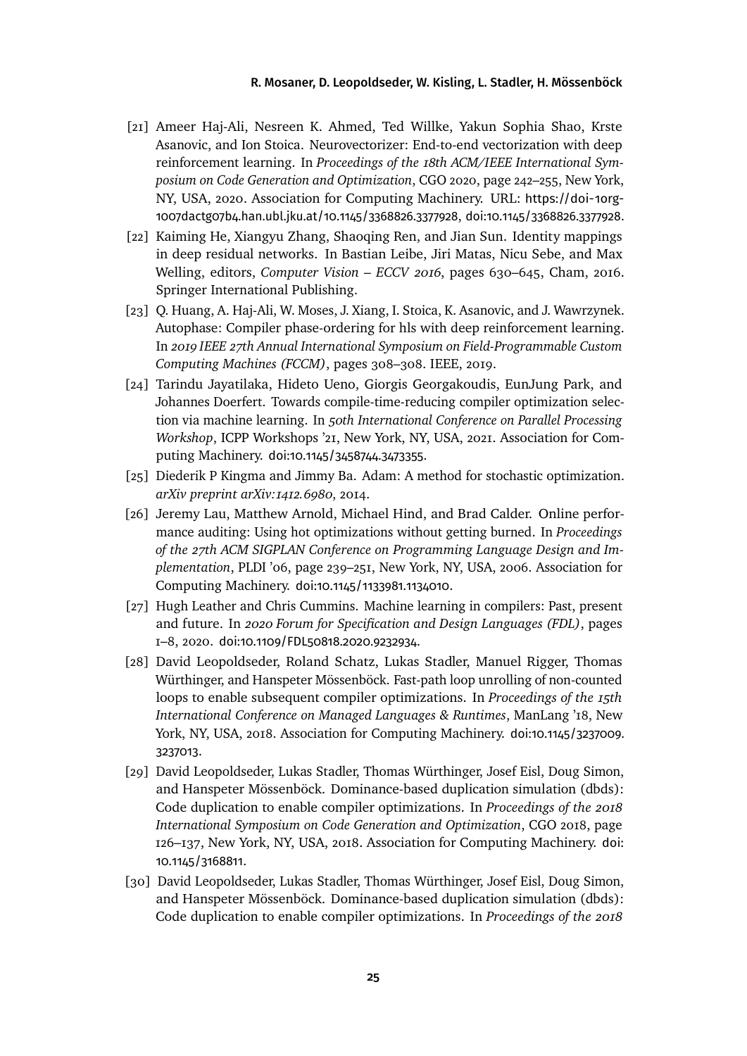- <span id="page-24-4"></span>[21] Ameer Haj-Ali, Nesreen K. Ahmed, Ted Willke, Yakun Sophia Shao, Krste Asanovic, and Ion Stoica. Neurovectorizer: End-to-end vectorization with deep reinforcement learning. In *Proceedings of the 18th ACM/IEEE International Symposium on Code Generation and Optimization*, CGO 2020, page 242–255, New York, NY, USA, 2020. Association for Computing Machinery. URL: [https://doi-1org-](https://doi-1org-1007dactg07b4.han.ubl.jku.at/10.1145/3368826.3377928)[1007dactg07b4.han.ubl.jku.at/10.1145/3368826.3377928](https://doi-1org-1007dactg07b4.han.ubl.jku.at/10.1145/3368826.3377928), [doi:10.1145/3368826.3377928](https://doi.org/10.1145/3368826.3377928).
- <span id="page-24-9"></span>[22] Kaiming He, Xiangyu Zhang, Shaoqing Ren, and Jian Sun. Identity mappings in deep residual networks. In Bastian Leibe, Jiri Matas, Nicu Sebe, and Max Welling, editors, *Computer Vision – ECCV 2016*, pages 630–645, Cham, 2016. Springer International Publishing.
- <span id="page-24-3"></span>[23] Q. Huang, A. Haj-Ali, W. Moses, J. Xiang, I. Stoica, K. Asanovic, and J. Wawrzynek. Autophase: Compiler phase-ordering for hls with deep reinforcement learning. In *2019 IEEE 27th Annual International Symposium on Field-Programmable Custom Computing Machines (FCCM)*, pages 308–308. IEEE, 2019.
- <span id="page-24-2"></span>[24] Tarindu Jayatilaka, Hideto Ueno, Giorgis Georgakoudis, EunJung Park, and Johannes Doerfert. Towards compile-time-reducing compiler optimization selection via machine learning. In *50th International Conference on Parallel Processing Workshop*, ICPP Workshops '21, New York, NY, USA, 2021. Association for Computing Machinery. [doi:10.1145/3458744.3473355](https://doi.org/10.1145/3458744.3473355).
- <span id="page-24-8"></span>[25] Diederik P Kingma and Jimmy Ba. Adam: A method for stochastic optimization. *arXiv preprint arXiv:1412.6980*, 2014.
- <span id="page-24-5"></span>[26] Jeremy Lau, Matthew Arnold, Michael Hind, and Brad Calder. Online performance auditing: Using hot optimizations without getting burned. In *Proceedings of the 27th ACM SIGPLAN Conference on Programming Language Design and Implementation*, PLDI '06, page 239–251, New York, NY, USA, 2006. Association for Computing Machinery. [doi:10.1145/1133981.1134010](https://doi.org/10.1145/1133981.1134010).
- <span id="page-24-1"></span>[27] Hugh Leather and Chris Cummins. Machine learning in compilers: Past, present and future. In *2020 Forum for Specification and Design Languages (FDL)*, pages 1–8, 2020. [doi:10.1109/FDL50818.2020.9232934](https://doi.org/10.1109/FDL50818.2020.9232934).
- <span id="page-24-6"></span>[28] David Leopoldseder, Roland Schatz, Lukas Stadler, Manuel Rigger, Thomas Würthinger, and Hanspeter Mössenböck. Fast-path loop unrolling of non-counted loops to enable subsequent compiler optimizations. In *Proceedings of the 15th International Conference on Managed Languages & Runtimes*, ManLang '18, New York, NY, USA, 2018. Association for Computing Machinery. [doi:10.1145/3237009.](https://doi.org/10.1145/3237009.3237013) [3237013](https://doi.org/10.1145/3237009.3237013).
- <span id="page-24-0"></span>[29] David Leopoldseder, Lukas Stadler, Thomas Würthinger, Josef Eisl, Doug Simon, and Hanspeter Mössenböck. Dominance-based duplication simulation (dbds): Code duplication to enable compiler optimizations. In *Proceedings of the 2018 International Symposium on Code Generation and Optimization*, CGO 2018, page 126–137, New York, NY, USA, 2018. Association for Computing Machinery. [doi:](https://doi.org/10.1145/3168811) [10.1145/3168811](https://doi.org/10.1145/3168811).
- <span id="page-24-7"></span>[30] David Leopoldseder, Lukas Stadler, Thomas Würthinger, Josef Eisl, Doug Simon, and Hanspeter Mössenböck. Dominance-based duplication simulation (dbds): Code duplication to enable compiler optimizations. In *Proceedings of the 2018*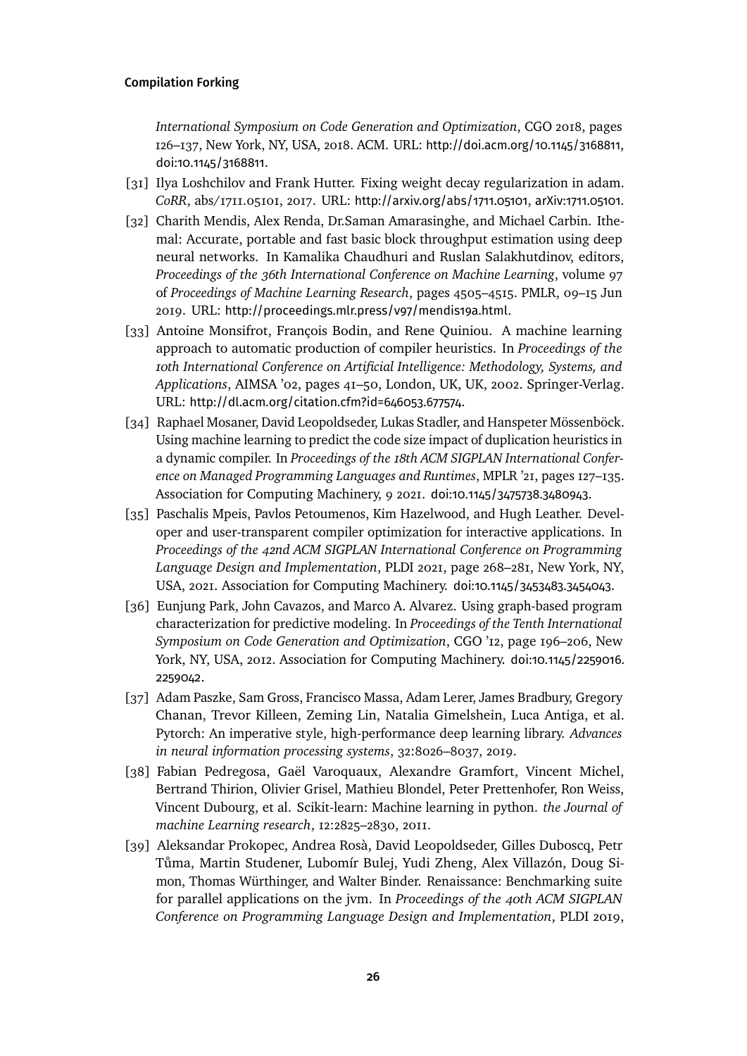*International Symposium on Code Generation and Optimization*, CGO 2018, pages 126–137, New York, NY, USA, 2018. ACM. URL: <http://doi.acm.org/10.1145/3168811>, [doi:10.1145/3168811](https://doi.org/10.1145/3168811).

- <span id="page-25-8"></span>[31] Ilya Loshchilov and Frank Hutter. Fixing weight decay regularization in adam. *CoRR*, abs/1711.05101, 2017. URL: <http://arxiv.org/abs/1711.05101>, [arXiv:1711.05101](http://arxiv.org/abs/1711.05101).
- <span id="page-25-3"></span>[32] Charith Mendis, Alex Renda, Dr.Saman Amarasinghe, and Michael Carbin. Ithemal: Accurate, portable and fast basic block throughput estimation using deep neural networks. In Kamalika Chaudhuri and Ruslan Salakhutdinov, editors, *Proceedings of the 36th International Conference on Machine Learning*, volume 97 of *Proceedings of Machine Learning Research*, pages 4505–4515. PMLR, 09–15 Jun 2019. URL: <http://proceedings.mlr.press/v97/mendis19a.html>.
- <span id="page-25-1"></span>[33] Antoine Monsifrot, François Bodin, and Rene Quiniou. A machine learning approach to automatic production of compiler heuristics. In *Proceedings of the 10th International Conference on Artificial Intelligence: Methodology, Systems, and Applications*, AIMSA '02, pages 41–50, London, UK, UK, 2002. Springer-Verlag. URL: <http://dl.acm.org/citation.cfm?id=646053.677574>.
- <span id="page-25-0"></span>[34] Raphael Mosaner, David Leopoldseder, Lukas Stadler, and Hanspeter Mössenböck. Using machine learning to predict the code size impact of duplication heuristics in a dynamic compiler. In *Proceedings of the 18th ACM SIGPLAN International Conference on Managed Programming Languages and Runtimes*, MPLR '21, pages 127–135. Association for Computing Machinery, 9 2021. [doi:10.1145/3475738.3480943](https://doi.org/10.1145/3475738.3480943).
- <span id="page-25-4"></span>[35] Paschalis Mpeis, Pavlos Petoumenos, Kim Hazelwood, and Hugh Leather. Developer and user-transparent compiler optimization for interactive applications. In *Proceedings of the 42nd ACM SIGPLAN International Conference on Programming Language Design and Implementation*, PLDI 2021, page 268–281, New York, NY, USA, 2021. Association for Computing Machinery. [doi:10.1145/3453483.3454043](https://doi.org/10.1145/3453483.3454043).
- <span id="page-25-2"></span>[36] Eunjung Park, John Cavazos, and Marco A. Alvarez. Using graph-based program characterization for predictive modeling. In *Proceedings of the Tenth International Symposium on Code Generation and Optimization*, CGO '12, page 196–206, New York, NY, USA, 2012. Association for Computing Machinery. [doi:10.1145/2259016.](https://doi.org/10.1145/2259016.2259042) [2259042](https://doi.org/10.1145/2259016.2259042).
- <span id="page-25-6"></span>[37] Adam Paszke, Sam Gross, Francisco Massa, Adam Lerer, James Bradbury, Gregory Chanan, Trevor Killeen, Zeming Lin, Natalia Gimelshein, Luca Antiga, et al. Pytorch: An imperative style, high-performance deep learning library. *Advances in neural information processing systems*, 32:8026–8037, 2019.
- <span id="page-25-7"></span>[38] Fabian Pedregosa, Gaël Varoquaux, Alexandre Gramfort, Vincent Michel, Bertrand Thirion, Olivier Grisel, Mathieu Blondel, Peter Prettenhofer, Ron Weiss, Vincent Dubourg, et al. Scikit-learn: Machine learning in python. *the Journal of machine Learning research*, 12:2825–2830, 2011.
- <span id="page-25-5"></span>[39] Aleksandar Prokopec, Andrea Rosà, David Leopoldseder, Gilles Duboscq, Petr Tůma, Martin Studener, Lubomír Bulej, Yudi Zheng, Alex Villazón, Doug Simon, Thomas Würthinger, and Walter Binder. Renaissance: Benchmarking suite for parallel applications on the jvm. In *Proceedings of the 40th ACM SIGPLAN Conference on Programming Language Design and Implementation*, PLDI 2019,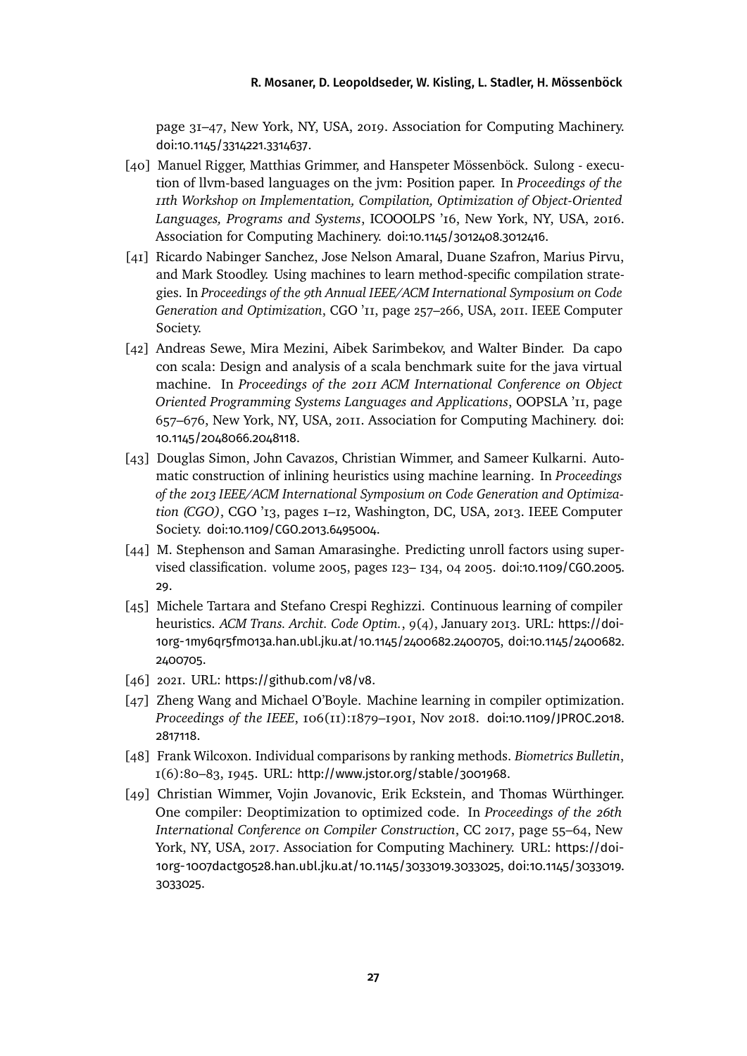page 31–47, New York, NY, USA, 2019. Association for Computing Machinery. [doi:10.1145/3314221.3314637](https://doi.org/10.1145/3314221.3314637).

- <span id="page-26-7"></span>[40] Manuel Rigger, Matthias Grimmer, and Hanspeter Mössenböck. Sulong - execution of llvm-based languages on the jvm: Position paper. In *Proceedings of the 11th Workshop on Implementation, Compilation, Optimization of Object-Oriented Languages, Programs and Systems*, ICOOOLPS '16, New York, NY, USA, 2016. Association for Computing Machinery. [doi:10.1145/3012408.3012416](https://doi.org/10.1145/3012408.3012416).
- <span id="page-26-4"></span>[41] Ricardo Nabinger Sanchez, Jose Nelson Amaral, Duane Szafron, Marius Pirvu, and Mark Stoodley. Using machines to learn method-specific compilation strategies. In *Proceedings of the 9th Annual IEEE/ACM International Symposium on Code Generation and Optimization*, CGO '11, page 257–266, USA, 2011. IEEE Computer Society.
- <span id="page-26-8"></span>[42] Andreas Sewe, Mira Mezini, Aibek Sarimbekov, and Walter Binder. Da capo con scala: Design and analysis of a scala benchmark suite for the java virtual machine. In *Proceedings of the 2011 ACM International Conference on Object Oriented Programming Systems Languages and Applications*, OOPSLA '11, page 657–676, New York, NY, USA, 2011. Association for Computing Machinery. [doi:](https://doi.org/10.1145/2048066.2048118) [10.1145/2048066.2048118](https://doi.org/10.1145/2048066.2048118).
- <span id="page-26-1"></span>[43] Douglas Simon, John Cavazos, Christian Wimmer, and Sameer Kulkarni. Automatic construction of inlining heuristics using machine learning. In *Proceedings of the 2013 IEEE/ACM International Symposium on Code Generation and Optimization (CGO)*, CGO '13, pages 1–12, Washington, DC, USA, 2013. IEEE Computer Society. [doi:10.1109/CGO.2013.6495004](https://doi.org/10.1109/CGO.2013.6495004).
- <span id="page-26-2"></span>[44] M. Stephenson and Saman Amarasinghe. Predicting unroll factors using supervised classification. volume 2005, pages 123– 134, 04 2005. [doi:10.1109/CGO.2005.](https://doi.org/10.1109/CGO.2005.29) [29](https://doi.org/10.1109/CGO.2005.29).
- <span id="page-26-3"></span>[45] Michele Tartara and Stefano Crespi Reghizzi. Continuous learning of compiler heuristics. *ACM Trans. Archit. Code Optim.*, 9(4), January 2013. URL: [https://doi-](https://doi-1org-1my6qr5fm013a.han.ubl.jku.at/10.1145/2400682.2400705)[1org-1my6qr5fm013a.han.ubl.jku.at/10.1145/2400682.2400705](https://doi-1org-1my6qr5fm013a.han.ubl.jku.at/10.1145/2400682.2400705), [doi:10.1145/2400682.](https://doi.org/10.1145/2400682.2400705) [2400705](https://doi.org/10.1145/2400682.2400705).
- <span id="page-26-5"></span>[46] 2021. URL: <https://github.com/v8/v8>.
- <span id="page-26-0"></span>[47] Zheng Wang and Michael O'Boyle. Machine learning in compiler optimization. *Proceedings of the IEEE*, 106(11):1879–1901, Nov 2018. [doi:10.1109/JPROC.2018.](https://doi.org/10.1109/JPROC.2018.2817118) [2817118](https://doi.org/10.1109/JPROC.2018.2817118).
- <span id="page-26-9"></span>[48] Frank Wilcoxon. Individual comparisons by ranking methods. *Biometrics Bulletin*, 1(6):80–83, 1945. URL: <http://www.jstor.org/stable/3001968>.
- <span id="page-26-6"></span>[49] Christian Wimmer, Vojin Jovanovic, Erik Eckstein, and Thomas Würthinger. One compiler: Deoptimization to optimized code. In *Proceedings of the 26th International Conference on Compiler Construction*, CC 2017, page 55–64, New York, NY, USA, 2017. Association for Computing Machinery. URL: [https://doi-](https://doi-1org-1007dactg0528.han.ubl.jku.at/10.1145/3033019.3033025)[1org-1007dactg0528.han.ubl.jku.at/10.1145/3033019.3033025](https://doi-1org-1007dactg0528.han.ubl.jku.at/10.1145/3033019.3033025), [doi:10.1145/3033019.](https://doi.org/10.1145/3033019.3033025) [3033025](https://doi.org/10.1145/3033019.3033025).